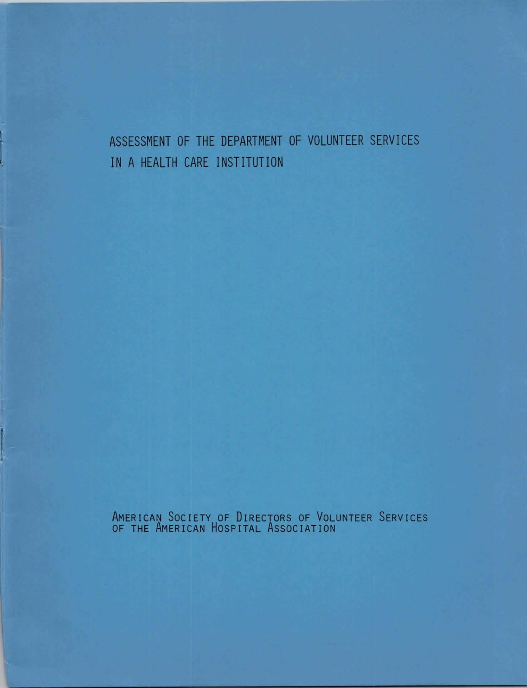# ASSESSMENT OF THE DEPARTMENT OF VOLUNTEER SERVICES IN A HEALTH CARE INSTITUTION

AMERICAN SOCIETY OF DIRECTORS OF VOLUNTEER SERVICES OF THE AMERICAN HOSPITAL ASSOCIATION

J

I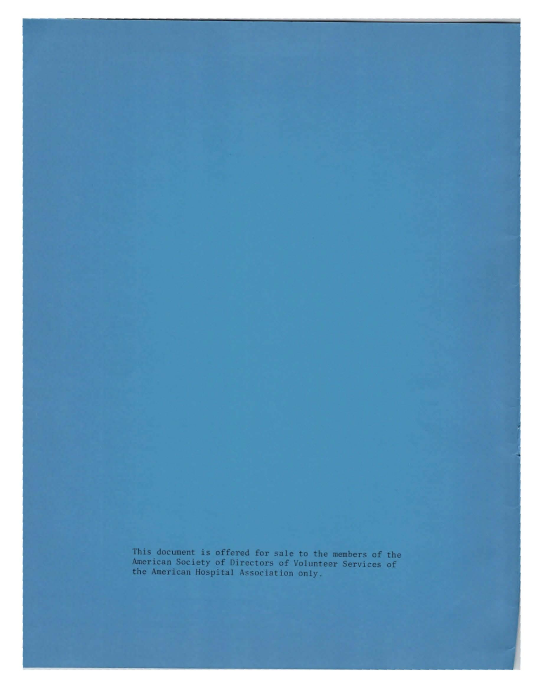This document is offered for sale to the members of the American Society of Djrectors of Volunteer Services of the American Hospital Association only.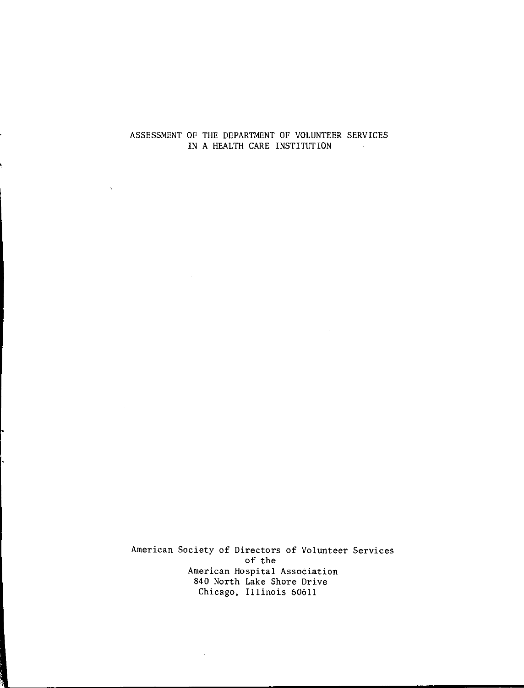## ASSESSMENT OF THE DEPARTMENT OF VOLUNTEER SERVICES IN A HEALTH CARE INSTITUTION

American Society of Directors of Volunteer Services of the American Hospital Associatio 840 North Lake Shore Drive Chicago, Illinois 60611

 $\Delta \sim 10^4$ 

 $\sim$ 

•

 $\hat{\mathbf{v}}$ 

 $\sim$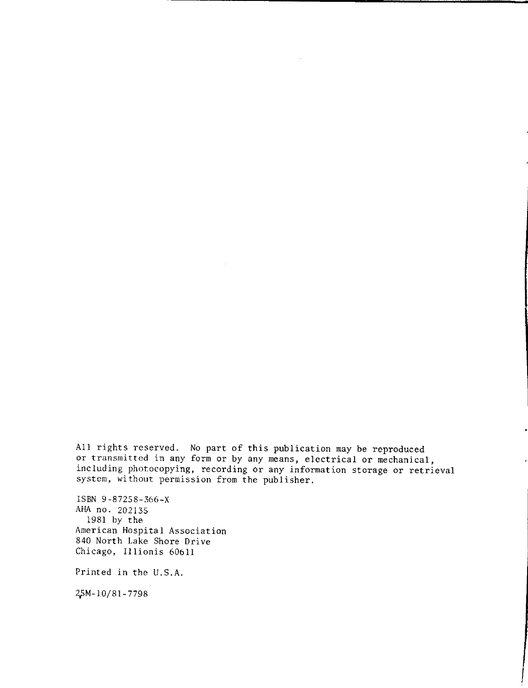All rights reserved. No part of this publication may be reproduced or transmitted in any form or by any means, electrical or mechanical, including photocopying, recording or any information storage or retrieval system, without permission from the publisher.

ISBN 9-87258-366-X AHA no. 202135 1981 by the American Hospital Association 840 North Lake Shore Drive Chicago, Illionis 60611

Printed in the U.S.A.

2,5M-10/8l-7798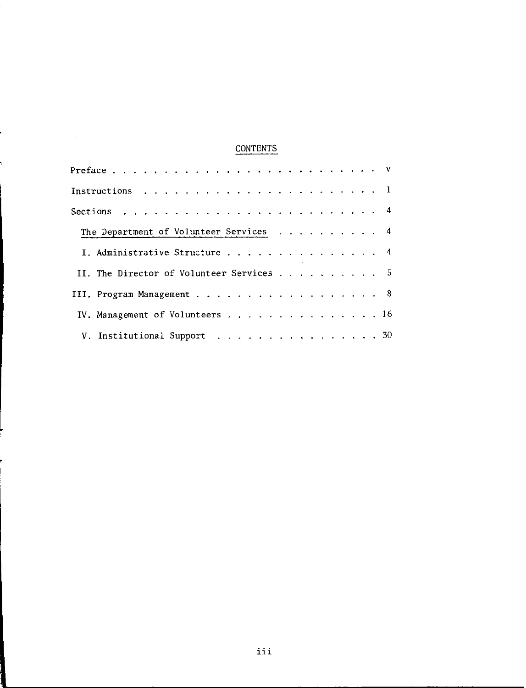## CONTENTS

| The Department of Volunteer Services 4   |  |  |
|------------------------------------------|--|--|
| I. Administrative Structure 4            |  |  |
| II. The Director of Volunteer Services 5 |  |  |
| III. Program Management 8                |  |  |
| IV. Management of Volunteers 16          |  |  |
| V. Institutional Support 30              |  |  |

,

 $\sim 10^6$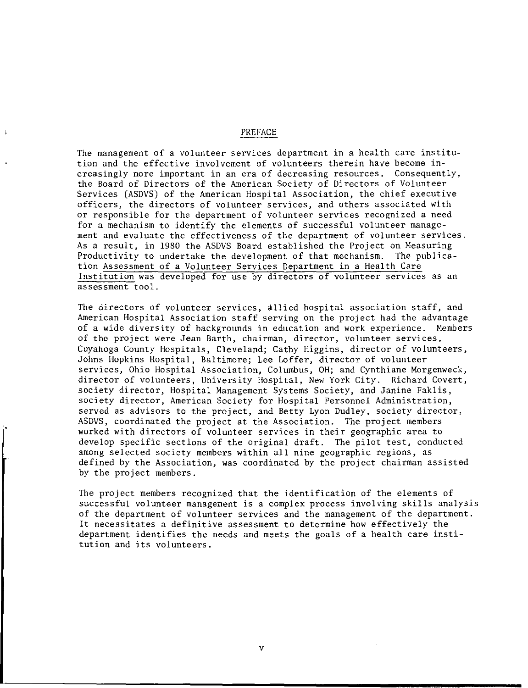#### PREFACE

The management of a volunteer services department in a health care institution and the effective involvement of volunteers therein have become increasingly more important in an era of decreasing resources. Consequently, the Board of Directors of the American Society of Directors of Volunteer Services (ASDVS) of the American Hospital Association, the chief executive officers, the directors of volunteer services, and others associated with or responsible for the department of volunteer services recognized a need for a mechanism to identify the elements of successful volunteer management and evaluate the effectiveness of the department of volunteer services. As a result, in 1980 the ASDVS Board established the Project on Measuring Productivity to undertake the development of that mechanism. The publication Assessment of a Volunteer Services Department in a Health Care Institution was developed for use by directors of volunteer services as an assessment tool.

The directors of volunteer services, allied hospital association staff, and American Hospital Association staff serving on the project had the advantage of a wide diversity of backgrounds in education and work experience. Members of the project were Jean Barth, chairman, director, volunteer services, Cuyahoga County Hospitals, Cleveland; Cathy Higgins, director of volunteers, Johns Hopkins Hospital, Baltimore; Lee Loffer, director of volunteer services, Ohio Hospital Association, Columbus, OH; and Cynthiane Morgenweck, director of volunteers, University Hospital, New York City. Richard Covert, society director, Hospital Management Systems Society, and Janine Faklis, society director, American Society for Hospital Personnel Administration, served as advisors to the project, and Betty Lyon Dudley, society director, ASDVS, coordinated the project at the Association. The project members worked with directors of volunteer services in their geographic area to develop specific sections of the original draft. The pilot test, conducted among selected society members within all nine geographic regions, as defined by the Association, was coordinated by the project chairman assisted by the project members.

The project members recognized that the identification of the elements of successful volunteer management is a complex process involving skills analysis of the department of volunteer services and the management of the department. It necessitates a definitive assessment to determine how effectively the department identifies the needs and meets the goals of a health care institution and its volunteers.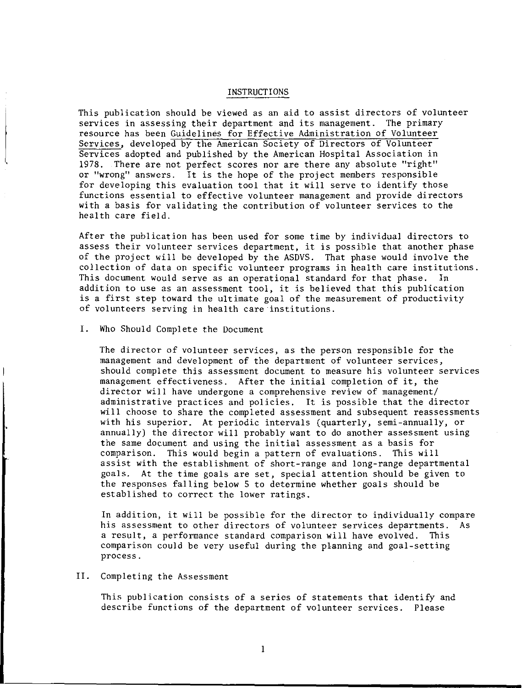#### INSTRUCTIONS

This publication should be viewed as an aid to assist directors of volunteer services in assessing their department and its management. The primary resource has been Guidelines for Effective Administration of Volunteer Services, developed by the American Society of Directors of Volunteer Services adopted and published by the American Hospital Association in 1978. There are not perfect scores nor are there any absolute "right" or "wrong" answers. It is the hope of the project members responsible for developing this evaluation tool that it will serve to identify those functions essential to effective volunteer management and provide directors with a basis for validating the contribution of volunteer services to the health care field.

After the publication has been used for some time by individual directors to assess their volunteer services department, it is possible that another phase of the project will be developed by the ASDVS. That phase would involve the collection of data on specific volunteer programs in health care institutions. This document would serve as an operational standard for that phase. In addition to use as an assessment tool, it is believed that this publication is a first step toward the ultimate goal of the measurement of productivity of volunteers serving in health care institutions.

#### I. Who Should Complete the Document

The director of volunteer services, as the person responsible for the management and development of the department of volunteer services, should complete this assessment document to measure his volunteer services management effectiveness. After the initial completion of it, the director will have undergone a comprehensive review of management/ administrative practices and policies. It is possible that the director will choose to share the completed assessment and subsequent reassessments with his superior. At periodic intervals (quarterly, semi-annually, or annually) the director will probably want to do another assessment using the same document and using the initial assessment as a basis for comparison. This would begin a pattern of evaluations. This will assist with the establishment of short-range and long-range departmental goals. At the time goals are set, special attention should be given to the responses falling below 5 to determine whether goals should be established to correct the lower ratings.

In addition, it will be possible for the director to individually compare his assessment to other directors of volunteer services departments. As a result, a performance standard comparison will have evolved. This comparison could be very useful during the p1anning and goal-setting process.

#### II. Completing the Assessment

This publication consists of a series of statements that identify and describe functions of the department of volunteer services. Please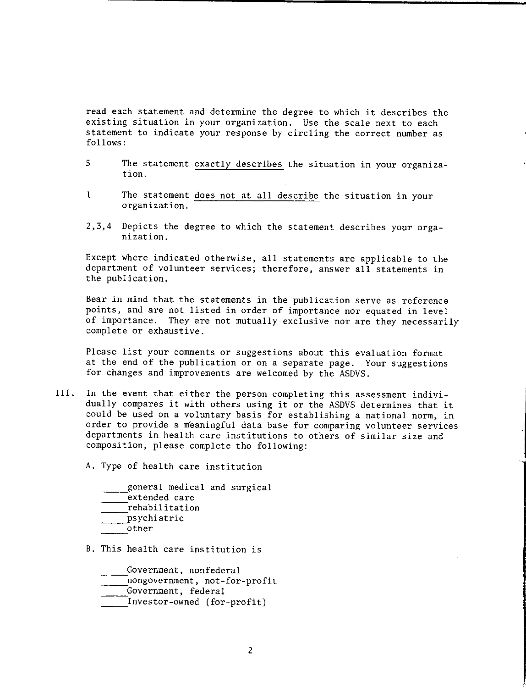read each statement and determine the degree to which it describes the existing situation in your organization. Use the scale next to each statement to indicate your response by circling the correct number as follows:

- 5 The statement exactly describes the situation in your organization.
- 1 The statement does not at all describe the situation in your organization.
- 2,3,4 Depicts the degree to which the statement describes your orga**nization.**

Except where indicated otherwise, all statements are applicable to the department of volunteer services; therefore, answer all statements in the publication.

Bear in mind that the statements in the publication serve as reference points, and are not listed in order of importance nor equated in level of importance. They are not mutually exclusive nor are they necessarily complete or exhaustive.

Please list your comments or suggestions about this evaluation format at the end of the publication or on a separate page. Your suggestions for changes and improvements are welcomed by the ASDVS.

III. In the event that either the person completing this assessment individually compares it with others using it or the ASDVS determines that it could be used on a voluntary basis for establishing a national norm, in order to provide a meaningful data base for comparing volunteer services departments in health care institutions to others of similar size and composition, please complete the following:

A. Type of health care institution

general medical and surgical extended care rehabilitation psychiatric other

B. This health care institution is

Government, nonfederal<br>-nongovernment, not-for-profit<br>-Government, federal

- 
- 
- Investor-owned (for-profit)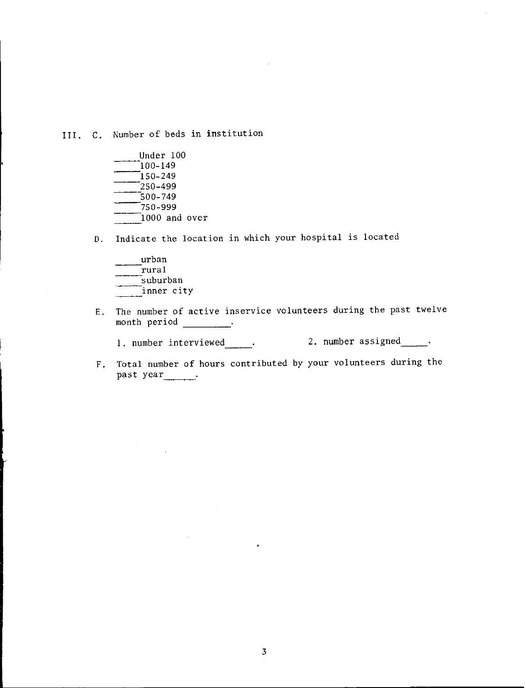III. C. Number of beds in institution

- Under 100<br>100-149<br>150-249 -<br>500–749<br>--<br>750-999 1000 and **over**
- D. Indicate the location in which your hospital is located
	- urban \_<br>\_rural<br>\_suburban inner city
- E. The number of active inservice volunteers during the past twelve month period .

1. number interviewed . 2. number assigned . .

F. Total number of hours contributed by your volunteers during the past year<sub>-----</sub>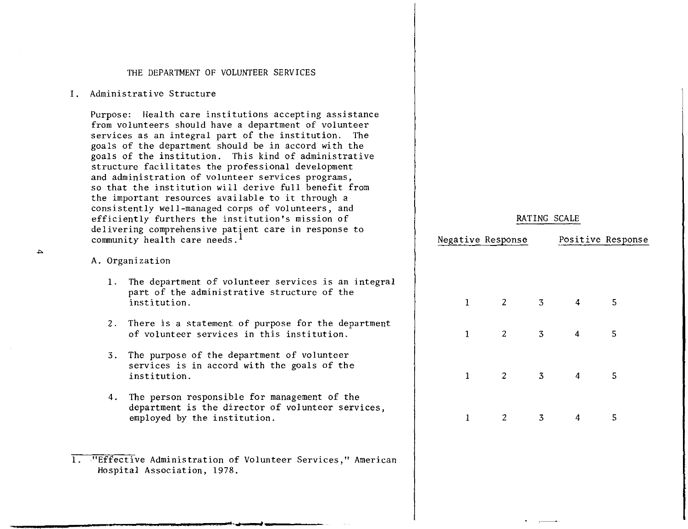#### THE DEPARTMENT OF VOLUNTEER SERVICES

#### I. Administrative Structure

Purpose: Health care institutions accepting assistance from volunteers should have a department of volunteer services as an integral part of the institution. The goals of the department should be in accord with the goals of the institution. This kind of administrative structure facilitates the professional development and administration of volunteer services programs, so that the institution will derive full benefit from the important resources available to it through a consistently well-managed corps of volunteers, and efficiently furthers the institution's mission of delivering comprehensive patient care in response to community health care needs.<sup>1</sup>

#### A. Organization

- 1. The department of volunteer services is an integral part of the administrative structure of the institution.
- 2. There is a statement of purpose for the department of volunteer services in this institution.
- 3. The purpose of the department of volunteer **services** is in accord with the goals of the institution.
- 4. The person responsible for management of the department is the director of volunteer **services,**  employed by the institution.

### RATING SCALE

|             | Negative Response |                |   | Positive Response |
|-------------|-------------------|----------------|---|-------------------|
|             |                   |                |   |                   |
| 1           | $\overline{2}$    | 3              | 4 | 5                 |
| 1           | 2                 | $\overline{3}$ | 4 | 5                 |
| $\mathbf 1$ | $\overline{c}$    | $\overline{3}$ | 4 | 5                 |
| 1           | 2                 | 3              | 4 | 5                 |

<sup>1. &</sup>quot;Effective Administration of Volunteer Services," American Hospital Association, 1978.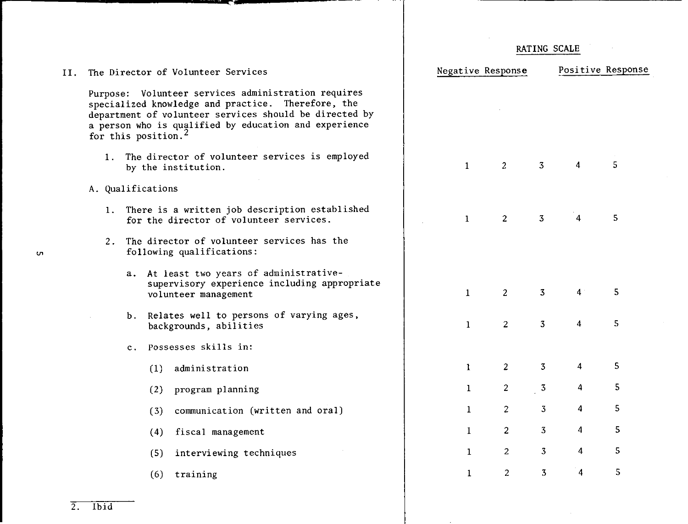|     |                                                                                                                                                                                                                                                                 |                |     |                                                                                                                  |                   |                | RATING SCALE   |                |                   |
|-----|-----------------------------------------------------------------------------------------------------------------------------------------------------------------------------------------------------------------------------------------------------------------|----------------|-----|------------------------------------------------------------------------------------------------------------------|-------------------|----------------|----------------|----------------|-------------------|
| II. |                                                                                                                                                                                                                                                                 |                |     | The Director of Volunteer Services                                                                               | Negative Response |                |                |                | Positive Response |
|     | Purpose: Volunteer services administration requires<br>specialized knowledge and practice. Therefore, the<br>department of volunteer services should be directed by<br>a person who is qualified by education and experience<br>for this position. <sup>2</sup> |                |     |                                                                                                                  |                   |                |                |                |                   |
|     |                                                                                                                                                                                                                                                                 |                |     | 1. The director of volunteer services is employed<br>by the institution.                                         | $\mathbf{1}$      | $\overline{2}$ | 3              | $\overline{4}$ | 5                 |
|     | A. Qualifications                                                                                                                                                                                                                                               |                |     |                                                                                                                  |                   |                |                |                |                   |
|     |                                                                                                                                                                                                                                                                 |                |     | 1. There is a written job description established<br>for the director of volunteer services.                     | $\mathbf{1}$      | $\overline{2}$ | 3              | $\overline{4}$ | 5                 |
|     |                                                                                                                                                                                                                                                                 |                |     | 2. The director of volunteer services has the<br>following qualifications:                                       |                   |                |                |                |                   |
|     |                                                                                                                                                                                                                                                                 |                |     | a. At least two years of administrative-<br>supervisory experience including appropriate<br>volunteer management | $\mathbf{1}$      | $\overline{2}$ | 3              | $\overline{4}$ | 5                 |
|     |                                                                                                                                                                                                                                                                 |                |     | b. Relates well to persons of varying ages,<br>backgrounds, abilities                                            | $\mathbf{1}$      | 2 <sup>1</sup> | 3              | $\overline{4}$ | 5                 |
|     |                                                                                                                                                                                                                                                                 | $\mathbf{c}$ . |     | Possesses skills in:                                                                                             |                   |                |                |                |                   |
|     |                                                                                                                                                                                                                                                                 |                | (1) | administration                                                                                                   | $\mathbf{1}$      | $\mathbf{2}$   | $\overline{3}$ | $\overline{4}$ | 5                 |
|     |                                                                                                                                                                                                                                                                 |                | (2) | program planning                                                                                                 | $\mathbf{1}$      | $\overline{2}$ | $\overline{3}$ | 4              | 5                 |
|     |                                                                                                                                                                                                                                                                 |                | (3) | communication (written and oral)                                                                                 | $\mathbf{1}$      | $\overline{c}$ | 3              | 4              | 5                 |
|     |                                                                                                                                                                                                                                                                 |                | (4) | fiscal management                                                                                                | $\mathbf{1}$      | $\overline{2}$ | $\overline{3}$ | 4              | 5                 |
|     |                                                                                                                                                                                                                                                                 |                | (5) | interviewing techniques                                                                                          | $\mathbf{1}$      | $\overline{2}$ | $\overline{3}$ | $\overline{4}$ | 5                 |
|     |                                                                                                                                                                                                                                                                 |                | (6) | training                                                                                                         | 1                 | $\overline{2}$ | $\overline{3}$ | 4              | 5                 |
|     |                                                                                                                                                                                                                                                                 |                |     |                                                                                                                  |                   |                |                |                |                   |

 $\overline{a}$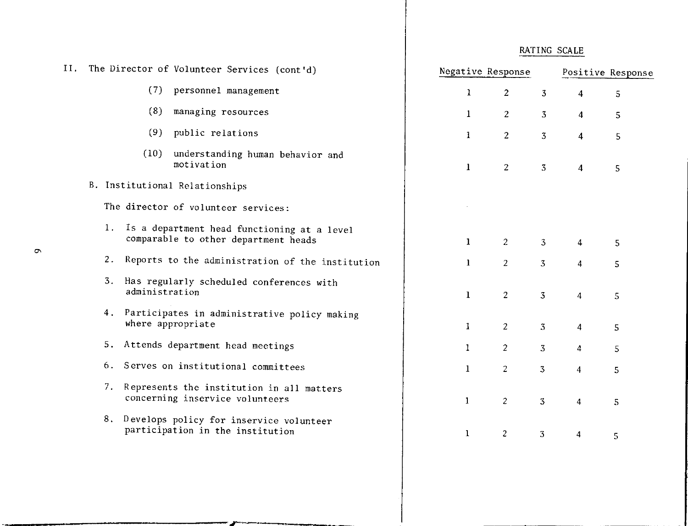| Η. | The Director of Volunteer Services (cont'd) |                |                                                                                     | Negative Response |                |                | Positive Response       |   |  |  |
|----|---------------------------------------------|----------------|-------------------------------------------------------------------------------------|-------------------|----------------|----------------|-------------------------|---|--|--|
|    |                                             |                | (7) personnel management                                                            | $\mathbf{1}$      | $\overline{2}$ | $\mathbf{3}$   | $\overline{4}$          | 5 |  |  |
|    |                                             | (8)            | managing resources                                                                  | $\bf{1}$          | $\overline{2}$ | 3              | 4                       | 5 |  |  |
|    |                                             | (9)            | public relations                                                                    | $\mathbf{1}$      | $\overline{2}$ | $\overline{3}$ | 4                       | 5 |  |  |
|    |                                             | (10)           | understanding human behavior and<br>motivation                                      | $\mathbf{1}$      | $\overline{2}$ | 3              | $\overline{4}$          | 5 |  |  |
|    |                                             |                | B. Institutional Relationships                                                      |                   |                |                |                         |   |  |  |
|    |                                             |                | The director of volunteer services:                                                 |                   |                |                |                         |   |  |  |
|    | 1.                                          |                | Is a department head functioning at a level<br>comparable to other department heads | $\mathbf{1}$      | $\overline{2}$ | $\overline{3}$ | 4                       | 5 |  |  |
|    |                                             |                | 2. Reports to the administration of the institution                                 | $\mathbf{1}$      | 2 <sup>1</sup> | 3              | $\overline{4}$          | 5 |  |  |
|    |                                             | administration | 3. Has regularly scheduled conferences with                                         | $\mathbf{1}$      | $\overline{2}$ | 3              | $\overline{4}$          | 5 |  |  |
|    | 4.                                          |                | Participates in administrative policy making<br>where appropriate                   | $\mathbf{I}$      | 2 <sup>1</sup> | $\overline{3}$ | $\overline{\mathbf{4}}$ | 5 |  |  |
|    |                                             |                | 5. Attends department head meetings                                                 | $\mathbf{1}$      | 2 <sup>1</sup> | 3              | $\overline{4}$          | 5 |  |  |
|    | 6.                                          |                | Serves on institutional committees                                                  | $\bf{1}$          | $\overline{c}$ | 3              | $\overline{4}$          | 5 |  |  |
|    | 7.                                          |                | Represents the institution in all matters<br>concerning inservice volunteers        | $\bf{1}$          | $\overline{2}$ | 3              | 4                       | 5 |  |  |
|    |                                             |                | 8. Develops policy for inservice volunteer<br>participation in the institution      | $\mathbf{1}$      | $\overline{c}$ | 3              | $\overline{\mathbf{4}}$ | 5 |  |  |
|    |                                             |                |                                                                                     |                   |                |                |                         |   |  |  |

 $\mathbf{r}$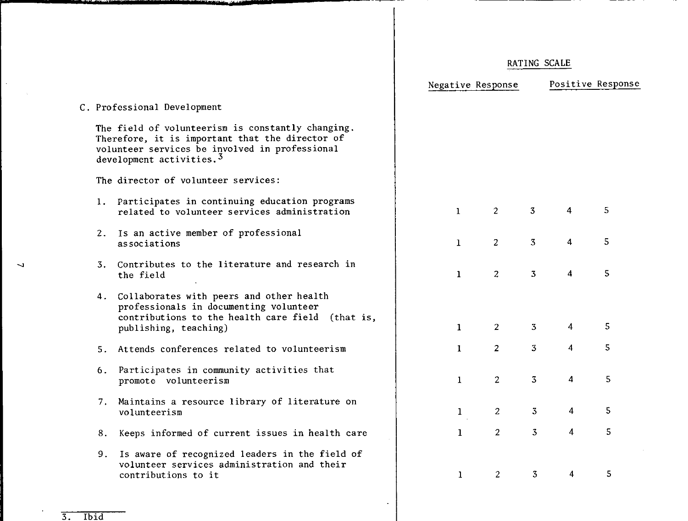|    |                                                                                                                                                                                       | Negative Response |                |                | Positive Response       |   |  |
|----|---------------------------------------------------------------------------------------------------------------------------------------------------------------------------------------|-------------------|----------------|----------------|-------------------------|---|--|
|    | C. Professional Development                                                                                                                                                           |                   |                |                |                         |   |  |
|    | The field of volunteerism is constantly changing.<br>Therefore, it is important that the director of<br>volunteer services be involved in professional<br>development activities. $3$ |                   |                |                |                         |   |  |
|    | The director of volunteer services:                                                                                                                                                   |                   |                |                |                         |   |  |
|    | 1. Participates in continuing education programs<br>related to volunteer services administration                                                                                      | $\mathbf{1}$      | $\overline{2}$ | 3              | $\overline{4}$          | 5 |  |
|    | 2. Is an active member of professional<br>associations                                                                                                                                | $\mathbf{1}$      | $\overline{2}$ | 3              | $\overline{\mathbf{4}}$ | 5 |  |
| 3. | Contributes to the literature and research in<br>the field                                                                                                                            | $\mathbf{1}$      | $\overline{c}$ | 3              | 4                       | 5 |  |
|    | 4. Collaborates with peers and other health<br>professionals in documenting volunteer<br>contributions to the health care field (that is,<br>publishing, teaching)                    | $\mathbf{1}$      | $\overline{2}$ | 3              | 4                       | 5 |  |
| 5. | Attends conferences related to volunteerism                                                                                                                                           | $\mathbf{I}$      | 2 <sup>1</sup> | $\overline{3}$ | $\overline{\mathbf{4}}$ | 5 |  |
| 6. | Participates in community activities that<br>promote volunteerism                                                                                                                     | $\mathbf{1}$      | $\overline{2}$ | $\overline{3}$ | $\overline{4}$          | 5 |  |
| 7. | Maintains a resource library of literature on<br>volunteerism                                                                                                                         | $\mathbf{1}$      | $\overline{2}$ | $\overline{3}$ | 4                       | 5 |  |
| 8. | Keeps informed of current issues in health care                                                                                                                                       | $\mathbf{1}$      | 2 <sup>1</sup> | $\overline{3}$ | 4                       | 5 |  |
| 9. | Is aware of recognized leaders in the field of<br>volunteer services administration and their<br>contributions to it                                                                  | $\mathbf{1}$      | $\overline{2}$ | 3              | 4                       | 5 |  |
|    |                                                                                                                                                                                       |                   |                |                |                         |   |  |

 $\mathbf{v}$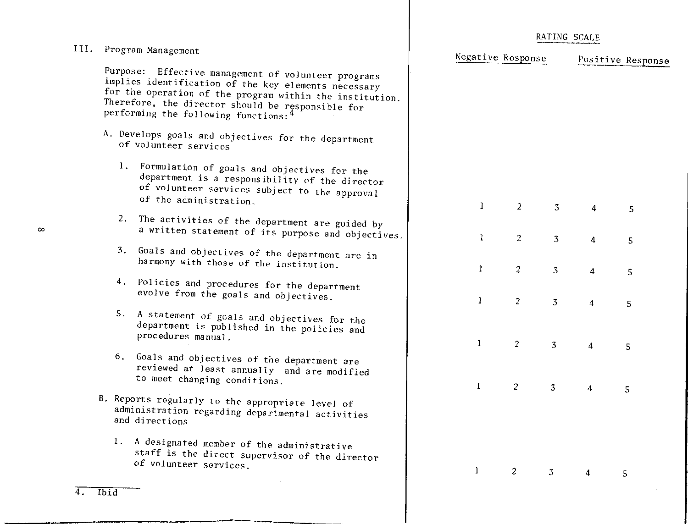|      |      |                                                                                                                                                                                                                                                                                  | RATING SCALE |                   |                |   |                   |  |
|------|------|----------------------------------------------------------------------------------------------------------------------------------------------------------------------------------------------------------------------------------------------------------------------------------|--------------|-------------------|----------------|---|-------------------|--|
| III. |      | Program Management                                                                                                                                                                                                                                                               |              | Negative Response |                |   | Positive Response |  |
|      |      | Purpose: Effective management of volunteer programs<br>implies identification of the key elements necessary<br>for the operation of the program within the institution.<br>Therefore, the director should be responsible for<br>performing the following functions: <sup>4</sup> |              |                   |                |   |                   |  |
|      |      | A. Develops goals and objectives for the department<br>of volunteer services                                                                                                                                                                                                     |              |                   |                |   |                   |  |
|      |      | 1. Formulation of goals and objectives for the<br>department is a responsibility of the director<br>of volunteer services subject to the approval<br>of the administration.                                                                                                      | 1            | $\overline{2}$    | $\overline{3}$ | 4 | 5                 |  |
|      | 2.   | The activities of the department are guided by<br>a written statement of its purpose and objectives.                                                                                                                                                                             | 1            | $\overline{c}$    | 3              | 4 | 5                 |  |
|      |      | 3. Goals and objectives of the department are in<br>harmony with those of the institution.                                                                                                                                                                                       | $\mathbf{1}$ | $\overline{c}$    | 3              | 4 | 5                 |  |
|      | 4.   | Policies and procedures for the department<br>evolve from the goals and objectives.                                                                                                                                                                                              | $\bf{l}$     | $\overline{c}$    | $\overline{3}$ | 4 | 5                 |  |
|      | 5.   | A statement of goals and objectives for the<br>department is published in the policies and<br>procedures manual.                                                                                                                                                                 | $\mathbf{1}$ | $\overline{c}$    | $3^{\circ}$    | 4 | 5                 |  |
|      | 6.   | Goals and objectives of the department are<br>reviewed at least annually and are modified<br>to meet changing conditions.                                                                                                                                                        | 1            | 2                 | 3              | 4 |                   |  |
|      |      | B. Reports regularly to the appropriate level of<br>administration regarding departmental activities<br>and directions                                                                                                                                                           |              |                   |                |   | 5                 |  |
|      | 1.   | A designated member of the administrative<br>staff is the direct supervisor of the director<br>of volunteer services.                                                                                                                                                            |              | $\overline{2}$    | 3              | 4 | 5 <sup>5</sup>    |  |
|      | Ibid |                                                                                                                                                                                                                                                                                  |              |                   |                |   |                   |  |

 $\infty$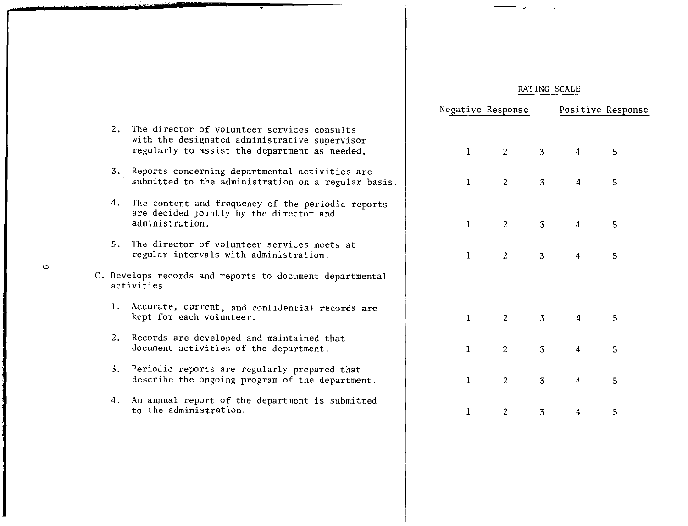|  | RATING SCALE |
|--|--------------|
|  |              |

|    |                                                                                                                                               |              | Negative Response |                | Positive Response       |   |  |
|----|-----------------------------------------------------------------------------------------------------------------------------------------------|--------------|-------------------|----------------|-------------------------|---|--|
| 2. | The director of volunteer services consults<br>with the designated administrative supervisor<br>regularly to assist the department as needed. | $\mathbf{1}$ | $\overline{2}$    | $\overline{3}$ | $\overline{4}$          | 5 |  |
| 3. | Reports concerning departmental activities are<br>submitted to the administration on a regular basis.                                         | $\mathbf{1}$ | 2                 | $\overline{3}$ | $\overline{4}$          | 5 |  |
| 4. | The content and frequency of the periodic reports<br>are decided jointly by the director and<br>administration.                               | $\mathbf{1}$ | 2                 | 3              | $\overline{a}$          | 5 |  |
|    | 5. The director of volunteer services meets at<br>regular intervals with administration.                                                      | $\mathbf{1}$ | 2                 | 3              | 4                       | 5 |  |
|    | C. Develops records and reports to document departmental<br>activities                                                                        |              |                   |                |                         |   |  |
|    | 1. Accurate, current, and confidential records are<br>kept for each volunteer.                                                                | $\mathbf{1}$ | $\overline{2}$    | $\overline{3}$ | $-4$                    | 5 |  |
| 2. | Records are developed and maintained that<br>document activities of the department.                                                           | $\mathbf{1}$ | $\overline{2}$    | 3              | $\overline{\mathbf{4}}$ | 5 |  |
|    | 3. Periodic reports are regularly prepared that<br>describe the ongoing program of the department.                                            | $\mathbf{1}$ | $\overline{2}$    | 3              | $\overline{4}$          | 5 |  |
| 4. | An annual report of the department is submitted<br>to the administration.                                                                     | $\mathbf{1}$ | $\overline{2}$    | 3              | 4                       | 5 |  |
|    |                                                                                                                                               |              |                   |                |                         |   |  |

 $\bar{z}$ 

 $\ddot{\circ}$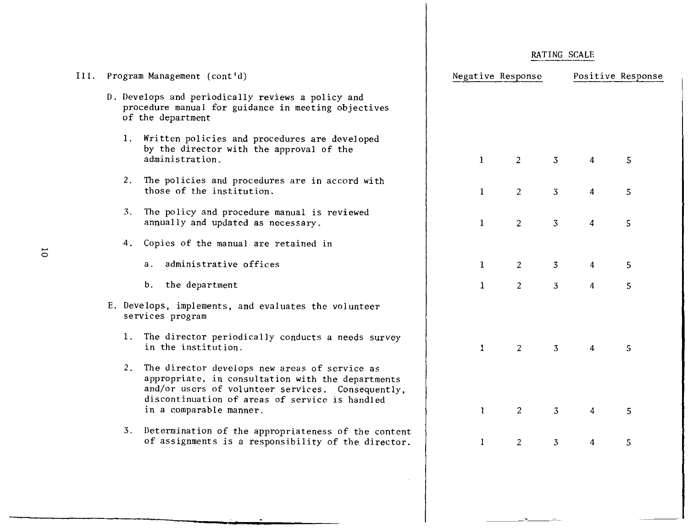| III. | Program Management (cont'd)                                                                                                                                                                                  | Negative Response              | Positive Response                     |  |  |
|------|--------------------------------------------------------------------------------------------------------------------------------------------------------------------------------------------------------------|--------------------------------|---------------------------------------|--|--|
|      | D. Develops and periodically reviews a policy and<br>procedure manual for guidance in meeting objectives<br>of the department                                                                                |                                |                                       |  |  |
|      | 1. Written policies and procedures are developed<br>by the director with the approval of the<br>administration.                                                                                              | 1<br><sup>2</sup>              | $\mathbf{3}$<br>5<br>4                |  |  |
|      | The policies and procedures are in accord with<br>2.<br>those of the institution.                                                                                                                            | $\overline{2}$<br>$\mathbf{1}$ | 3 <sup>7</sup><br>5<br>4              |  |  |
|      | 3.<br>The policy and procedure manual is reviewed<br>annually and updated as necessary.                                                                                                                      | $\mathbf{1}$<br>$\overline{2}$ | $\overline{3}$<br>5<br>4              |  |  |
|      | Copies of the manual are retained in<br>4.                                                                                                                                                                   |                                |                                       |  |  |
|      | administrative offices<br>а.                                                                                                                                                                                 | 2<br>$\mathbf{1}$              | 3 <sup>7</sup><br>5<br>$\overline{4}$ |  |  |
|      | b. the department                                                                                                                                                                                            | $\overline{c}$<br>$\mathbf{1}$ | $\overline{3}$<br>5<br>4              |  |  |
|      | E. Develops, implements, and evaluates the volunteer<br>services program                                                                                                                                     |                                |                                       |  |  |
|      | 1. The director periodically conducts a needs survey<br>in the institution.                                                                                                                                  | $\mathbf{1}$<br>2              | $\overline{3}$<br>5<br>4              |  |  |
|      | 2. The director develops new areas of service as<br>appropriate, in consultation with the departments<br>and/or users of volunteer services. Consequently,<br>discontinuation of areas of service is handled |                                |                                       |  |  |
|      | in a comparable manner.                                                                                                                                                                                      | $\overline{2}$<br>$\mathbf{1}$ | $\overline{3}$<br>4<br>5              |  |  |
|      | 3. Determination of the appropriateness of the content<br>of assignments is a responsibility of the director.                                                                                                | $\overline{c}$<br>$\mathbf{1}$ | $\overline{3}$<br>5<br>4              |  |  |
|      |                                                                                                                                                                                                              |                                |                                       |  |  |

 $\bar{\lambda}$ 

 $\sim$ 

للمشترك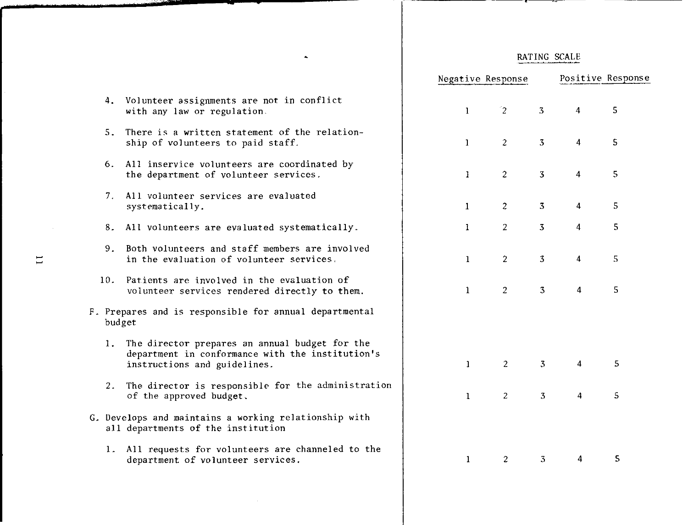75.

° 4. T

|     |                                                                                                                                    | Negative Response |                |                |                | Positive Response |  |
|-----|------------------------------------------------------------------------------------------------------------------------------------|-------------------|----------------|----------------|----------------|-------------------|--|
| 4.  | Volunteer assignments are not in conflict<br>with any law or regulation.                                                           | $\mathbf{1}$      | $\mathbf{r}_2$ | $\overline{3}$ | $\overline{4}$ | 5                 |  |
| 5.  | There is a written statement of the relation-<br>ship of volunteers to paid staff.                                                 | $\mathbf{1}$      | $\overline{2}$ | $\overline{3}$ | 4              | 5                 |  |
| 6.  | All inservice volunteers are coordinated by<br>the department of volunteer services.                                               | $\mathbf{1}$      | $\overline{2}$ | $\overline{3}$ | $\overline{4}$ | 5                 |  |
| 7.  | All volunteer services are evaluated<br>systematically.                                                                            | $\bf{1}$          | $\overline{2}$ | 3              | $\overline{4}$ | 5                 |  |
| 8.  | All volunteers are evaluated systematically.                                                                                       | $\mathbf{1}$      | $\overline{2}$ | 3              | $\overline{4}$ | 5                 |  |
| 9.  | Both volunteers and staff members are involved<br>in the evaluation of volunteer services.                                         | $\mathbf{1}$      | $\overline{2}$ | 3              | $\overline{4}$ | 5                 |  |
| 10. | Patients are involved in the evaluation of<br>volunteer services rendered directly to them.                                        | $\mathbf{1}$      | $\overline{2}$ | $\overline{3}$ | $\overline{4}$ | 5                 |  |
|     | F. Prepares and is responsible for annual departmental<br>budget                                                                   |                   |                |                |                |                   |  |
| 1.  | The director prepares an annual budget for the<br>department in conformance with the institution's<br>instructions and guidelines. | $\mathbf{1}$      | $\overline{2}$ | $\overline{3}$ | 4              | 5                 |  |
| 2.  | The director is responsible for the administration<br>of the approved budget.                                                      | $\mathbf{1}$      | $\overline{2}$ | $\overline{3}$ | 4              | 5                 |  |
|     | G. Develops and maintains a working relationship with<br>all departments of the institution                                        |                   |                |                |                |                   |  |
| 1.  | All requests for volunteers are channeled to the<br>department of volunteer services.                                              | $\mathbf{1}$      | $\overline{2}$ | 3              | 4              | 5                 |  |

 $\hat{\mathbf{z}}$ 

 $\sim$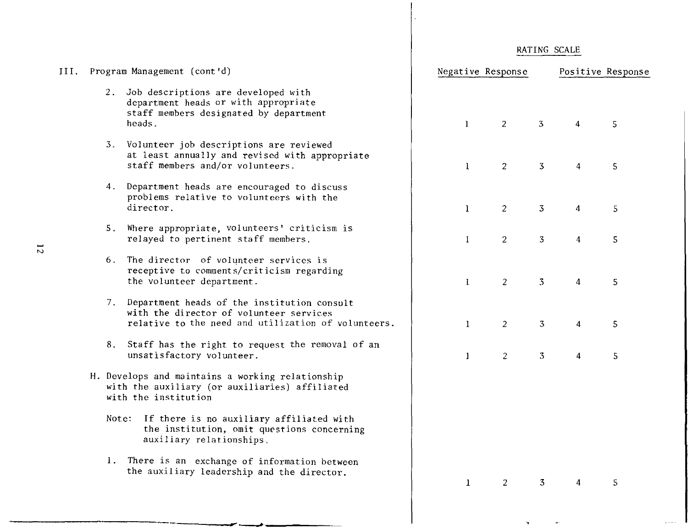| RATING SCALE |  |
|--------------|--|
|              |  |

 $\mathbf{Y}$  .  $\mathbf{X}$ 

 $\sim$ 

 $\mathbb{Z}^2$  , and  $\mathbb{Z}^2$ 

| Program Management (cont'd)                                                                                                                      | Negative Response |                |                |                         | Positive Response |
|--------------------------------------------------------------------------------------------------------------------------------------------------|-------------------|----------------|----------------|-------------------------|-------------------|
| 2. Job descriptions are developed with<br>department heads or with appropriate<br>staff members designated by department<br>heads.               | $\mathbf{1}$      | $\overline{2}$ | $\overline{3}$ | $\overline{4}$          | 5                 |
| 3. Volunteer job descriptions are reviewed<br>at least annually and revised with appropriate<br>staff members and/or volunteers.                 | $\mathbf{1}$      | $\overline{2}$ | $\overline{3}$ | 4                       | 5                 |
| Department heads are encouraged to discuss<br>4.<br>problems relative to volunteers with the<br>director.                                        | $\mathbf{1}$      | $\overline{2}$ | 3              | 4                       | 5                 |
| Where appropriate, volunteers' criticism is<br>5.<br>relayed to pertinent staff members.                                                         | $\mathbf{I}$      | $\overline{2}$ | $\overline{3}$ | $\overline{\mathbf{4}}$ | 5                 |
| 6. The director of volunteer services is<br>receptive to comments/criticism regarding<br>the volunteer department.                               | $\mathbf{I}$      | $\overline{c}$ | 3              | 4                       | 5                 |
| 7. Department heads of the institution consult<br>with the director of volunteer services<br>relative to the need and utilization of volunteers. | $\mathbf{1}$      | $\overline{2}$ | 3              | $\overline{\mathbf{4}}$ | 5                 |
| 8. Staff has the right to request the removal of an<br>unsatisfactory volunteer.                                                                 | $\mathbf{1}$      | 2              | $\overline{3}$ | $\overline{\mathbf{4}}$ | 5                 |
| H. Develops and maintains a working relationship<br>with the auxiliary (or auxiliaries) affiliated<br>with the institution                       |                   |                |                |                         |                   |
| Note: If there is no auxiliary affiliated with<br>the institution, omit questions concerning<br>auxiliary relationships.                         |                   |                |                |                         |                   |
| 1. There is an exchange of information between<br>the auxiliary leadership and the director.                                                     | $\bf{1}$          | 2              | 3              | 4                       | 5                 |
|                                                                                                                                                  |                   |                |                |                         |                   |

III.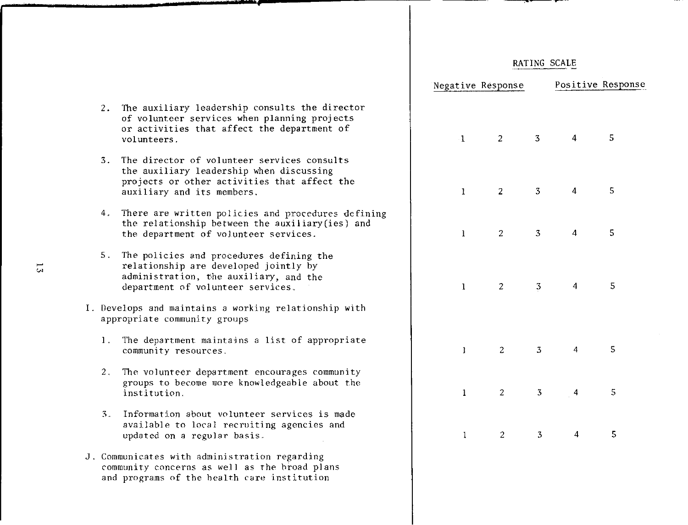|                                                                                                                                               | Negative Response |                |                |   | Positive Response |
|-----------------------------------------------------------------------------------------------------------------------------------------------|-------------------|----------------|----------------|---|-------------------|
| xiliary leadership consults the director<br>unteer services when planning projects<br>ivities that affect the department of<br>eers.          | $\cdot 1$         | 2              | 3 <sup>7</sup> | 4 | 5                 |
| rector of volunteer services consults<br>xiliary leadership when discussing<br>ts or other activities that affect the<br>ary and its members. | $\mathbf{1}$      | 2              | 3              | 4 | 5                 |
| are written policies and procedures defining<br>lationship between the auxiliary(ies) and<br>partment of volunteer services.                  | $\mathbf{1}$      | 2              | $\overline{3}$ | 4 | 5                 |
| licies and procedures defining the<br>onship are developed jointly by<br>stration, the auxiliary, and the<br>ment of volunteer services.      | $\mathbf{1}$      | $\overline{2}$ | $\overline{3}$ | 4 | 5                 |
| nd maintains a working relationship with<br>e community groups                                                                                |                   |                |                |   |                   |
| partment maintains a list of appropriate<br>ity resources.                                                                                    | $\mathbf{1}$      | $\overline{c}$ | $\overline{3}$ | 4 | 5                 |
| lunteer department encourages community<br>to become more knowledgeable about the<br>ution.                                                   | $\mathbf{1}$      | 2              | 3              | 4 | 5                 |
| ation about volunteer services is made<br>ble to local recruiting agencies and<br>d on a regular basis.                                       | $\mathbf{1}$      | 2              | $\mathbf{3}$   | 4 | 5                 |
| es with administration regarding<br>concerns as well as the broad plans<br>ms of the health care institution                                  |                   |                |                |   |                   |

- 2. The aux of volu or act: volunte
- 3. The director of volunteer services consults the aux project auxilia
- 4. There the rel the dep
- 5. The pol relationship adminis departm
- I. Develops a appropriate
	- 1. The dep commun<sup>?</sup>
	- $2.$  The vol groups institu
	- 3. Informa availab updated
- J. Communicate community and program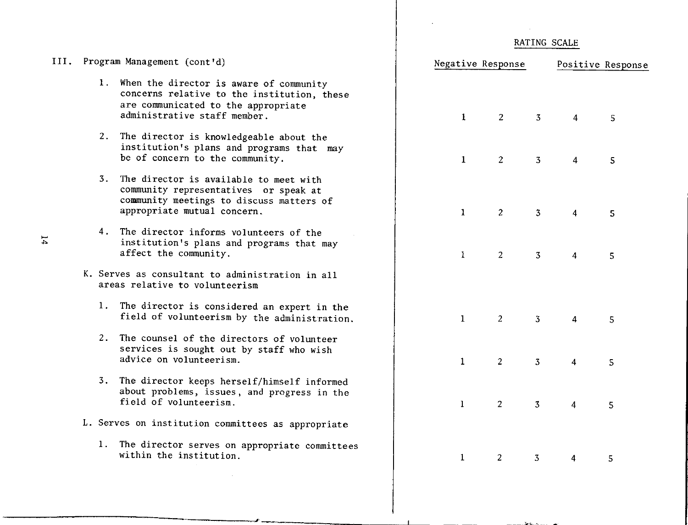|      |    |                                                                                                                                                                  | RATING SCALE      |                |                         |                         |                   |  |
|------|----|------------------------------------------------------------------------------------------------------------------------------------------------------------------|-------------------|----------------|-------------------------|-------------------------|-------------------|--|
| III. |    | Program Management (cont'd)                                                                                                                                      | Negative Response |                |                         |                         | Positive Response |  |
|      |    | 1. When the director is aware of community<br>concerns relative to the institution, these<br>are communicated to the appropriate<br>administrative staff member. | $\mathbf{1}$      | $\overline{2}$ | $\overline{3}$          | $\overline{4}$          | 5                 |  |
|      | 2. | The director is knowledgeable about the<br>institution's plans and programs that may<br>be of concern to the community.                                          | $\mathbf{1}$      | $\overline{c}$ | $\overline{\mathbf{3}}$ | $\overline{\mathbf{4}}$ | 5                 |  |
|      |    | 3. The director is available to meet with<br>community representatives or speak at<br>community meetings to discuss matters of<br>appropriate mutual concern.    | $\mathbf{1}$      | $\overline{2}$ | $\overline{3}$          | $\boldsymbol{\Lambda}$  | $5^{\circ}$       |  |
|      |    | 4. The director informs volunteers of the<br>institution's plans and programs that may<br>affect the community.                                                  | $\mathbf{1}$      | $\overline{2}$ | $\overline{3}$          | $\overline{4}$          | 5                 |  |
|      |    | K. Serves as consultant to administration in all<br>areas relative to volunteerism                                                                               |                   |                |                         |                         |                   |  |
|      |    | 1. The director is considered an expert in the<br>field of volunteerism by the administration.                                                                   | $\mathbf{1}$      | $\overline{2}$ | $\overline{3}$          | 4                       | 5                 |  |
|      |    | 2. The counsel of the directors of volunteer<br>services is sought out by staff who wish<br>advice on volunteerism.                                              | $\mathbf{1}$      | 2              | $\overline{3}$          | $\overline{4}$          | 5                 |  |
|      |    | 3. The director keeps herself/himself informed<br>about problems, issues, and progress in the<br>field of volunteerism.                                          | $\mathbf{1}$      | $\overline{2}$ | $\overline{3}$          | $\overline{4}$          | 5                 |  |
|      |    | L. Serves on institution committees as appropriate                                                                                                               |                   |                |                         |                         |                   |  |
|      |    | 1. The director serves on appropriate committees<br>within the institution.                                                                                      | $\mathbf{1}$      | $\overline{2}$ | $\overline{3}$          | 4                       | 5                 |  |

٠.

 $\mathbf{v}_\mathrm{max} = \mathbf{v}_\mathrm{max}$ 

 $\mathcal{L}$ 

 $14$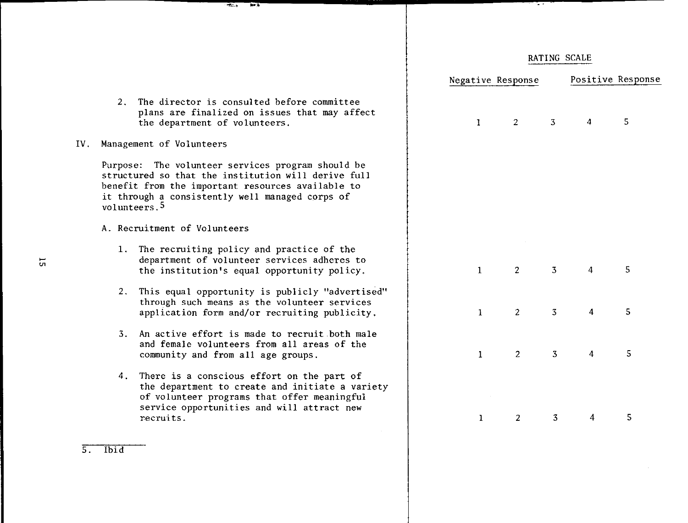|           | $\alpha$ , $\alpha$ , $\alpha$ , $\alpha$ , $\alpha$                                                                                                                                                                                         |                   |                       |                |   |                   |  |  |
|-----------|----------------------------------------------------------------------------------------------------------------------------------------------------------------------------------------------------------------------------------------------|-------------------|-----------------------|----------------|---|-------------------|--|--|
|           |                                                                                                                                                                                                                                              |                   |                       | RATING SCALE   |   |                   |  |  |
|           |                                                                                                                                                                                                                                              | Negative Response |                       |                |   | Positive Response |  |  |
| 2.        | The director is consulted before committee<br>plans are finalized on issues that may affect<br>the department of volunteers.                                                                                                                 | 1                 | <sup>2</sup>          | $\overline{3}$ |   | 5                 |  |  |
| IV.       | Management of Volunteers                                                                                                                                                                                                                     |                   |                       |                |   |                   |  |  |
|           | Purpose: The volunteer services program should be<br>structured so that the institution will derive full<br>benefit from the important resources available to<br>it through a consistently well managed corps of<br>volunteers. <sup>5</sup> |                   |                       |                |   |                   |  |  |
|           | A. Recruitment of Volunteers                                                                                                                                                                                                                 |                   |                       |                |   |                   |  |  |
|           | 1. The recruiting policy and practice of the<br>department of volunteer services adheres to<br>the institution's equal opportunity policy.                                                                                                   | $\mathbf{1}$      | $\mathbf{2}^{\prime}$ | $\overline{3}$ | 4 | 5                 |  |  |
|           | 2. This equal opportunity is publicly "advertised"<br>through such means as the volunteer services<br>application form and/or recruiting publicity.                                                                                          | 1                 | 2                     | $\overline{3}$ | 4 | 5                 |  |  |
| 3.        | An active effort is made to recruit both male<br>and female volunteers from all areas of the<br>community and from all age groups.                                                                                                           | 1                 | 2                     | 3              | 4 | 5                 |  |  |
|           | 4. There is a conscious effort on the part of<br>the department to create and initiate a variety<br>of volunteer programs that offer meaningful<br>service opportunities and will attract new<br>recruits.                                   | 1                 | 2                     | $\overline{3}$ | 4 | 5.                |  |  |
| $5.$ Ibid |                                                                                                                                                                                                                                              |                   |                       |                |   |                   |  |  |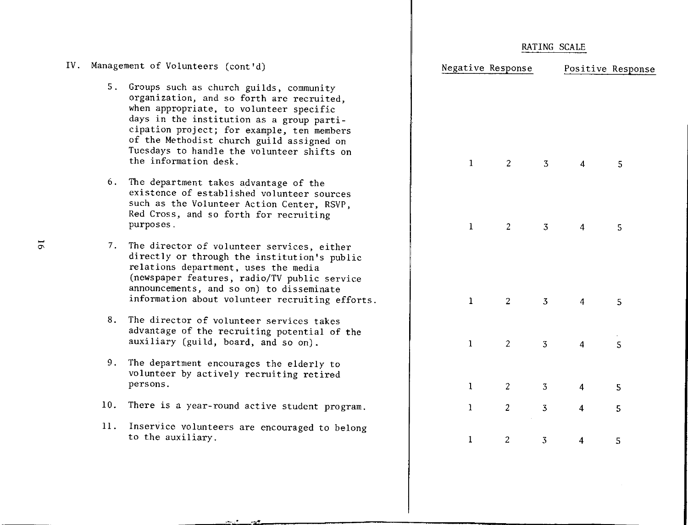| RATING SCALE |  |
|--------------|--|
|              |  |

| cont d)                                                                                                                                                                              |              | Negative Response |                | Positive Response |   |  |
|--------------------------------------------------------------------------------------------------------------------------------------------------------------------------------------|--------------|-------------------|----------------|-------------------|---|--|
| ch guilds, community<br>o forth are recruited,<br>volunteer specific<br>tion as a group parti-<br>or example, ten members<br>urch guild assigned on<br>the volunteer shifts on<br>Ċ. | $\mathbf{1}$ | $2^{\circ}$       | 3 <sup>7</sup> | 4                 | 5 |  |
| s advantage of the<br>ished volunteer sources<br>er Action Center, RSVP,<br>orth for recruiting                                                                                      | $\mathbf{1}$ | $\overline{2}$    | 3 <sup>7</sup> | 4                 | 5 |  |
| inteer services, either<br>the institution's public<br>t, uses the media<br>, radio/TV public service<br>so on) to disseminate<br>plunteer recruiting efforts.                       | $\mathbf{1}$ | $2^{\circ}$       | 3 <sup>7</sup> | 4                 | 5 |  |
| inteer services takes<br>cruiting potential of the<br>pard, and so on).                                                                                                              | $\mathbf{1}$ | 2                 | $\overline{3}$ | $\overline{4}$    | 5 |  |
| irages the elderly to<br>ly recruiting retired                                                                                                                                       | $\mathbf{1}$ | $2^{\circ}$       | 3 <sup>7</sup> | 4                 | 5 |  |
| d active student program.                                                                                                                                                            | $\mathbf{1}$ | $\overline{2}$    | $\overline{3}$ | $\overline{4}$    | 5 |  |
| are encouraged to belong                                                                                                                                                             | $\mathbf{1}$ | $\overline{c}$    | $\overline{3}$ | $\overline{4}$    | 5 |  |
|                                                                                                                                                                                      |              |                   |                |                   |   |  |

- IV. Management of Volunteers (cont
	- 5. Groups such as churc organization, and so when appropriate, to days in the institut cipation project; fo of the Methodist chu Tuesdays to handle t the information desk.
	- 6. The department takes existence of establi such as the Voluntee Red Cross, and so fo purposes.
	- 7. The director of volu directly or through relations department  $(newspaper$  features announcements, and s information about vo
	- 8. The director of volu advantage of the rec auxiliary (guild, bo
	- 9. The department encourages volunteer by activel persons.
	- 10. There is a year-roun
	- 11. Inservice volunteers to the auxiliary.

.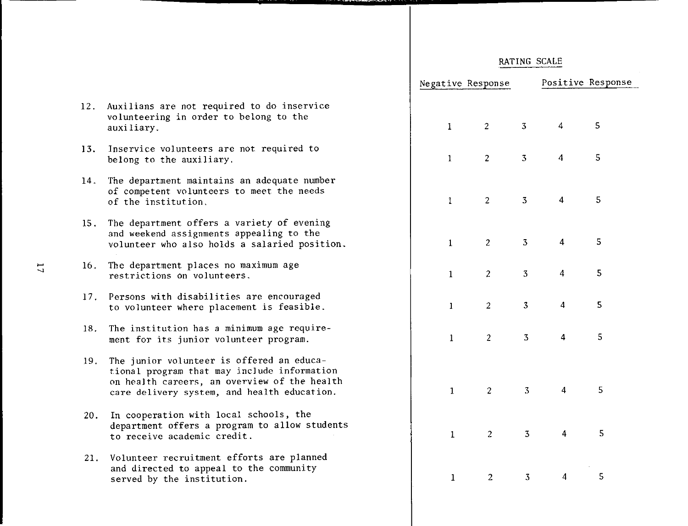|              | Negative Response       |                         |                         | Positive Response |
|--------------|-------------------------|-------------------------|-------------------------|-------------------|
|              |                         |                         |                         |                   |
| $\mathbf{I}$ | $\overline{\mathbf{c}}$ | $\overline{\mathbf{3}}$ | 4                       | 5                 |
| $\mathbf{1}$ | $\overline{\mathbf{c}}$ | $\overline{\mathbf{3}}$ | $\overline{\mathbf{r}}$ | 5                 |
| $\mathbf{1}$ | $\overline{\mathbf{c}}$ | 3                       | $\overline{\mathbf{4}}$ | 5                 |
| $\mathbf{1}$ | $\overline{\mathbf{c}}$ | 3                       | $\overline{\mathbf{4}}$ | 5                 |
| $\mathbf{1}$ | $\overline{\mathbf{c}}$ | 3                       | $\overline{\mathbf{4}}$ | 5                 |
| $\mathbf{1}$ | $\overline{c}$          | 3                       | $\overline{\mathbf{4}}$ | 5                 |
| $\mathbf{1}$ | $\overline{c}$          | 3                       | $\overline{\mathbf{4}}$ | 5                 |
|              |                         |                         |                         |                   |
| $\mathbf{1}$ | $\overline{\mathbf{c}}$ | 3                       | $\overline{4}$          | 5                 |
| $\mathbf{1}$ | $\overline{\mathbf{c}}$ | 3                       | 4                       | 5                 |
| $\mathbf{1}$ | $\overline{\mathbf{c}}$ | 3                       | $\overline{\mathbf{4}}$ | 5                 |

- 12. Auxilians are not required to do inservice volunteering in order to belong to the auxiliary.
- 13. Inservice volunteers are not required to belong to the auxiliary.
- 14. The department maintains an adequate number of competent volunteers to meet the needs of the institution.
- 15. The department offers a variety of evening and weekend assignments appealing to the volunteer who also holds a salaried position.
- 16. The department pl aces no maximum age restrictions on volunteers.
- 17, Persons with disabilities are encouraged to volunteer where placement is feasible.
- 18. The institution has a minimum age requirement for its junior volunteer program.
- 19. The junior volunteer is offered an educational program that may include information on health careers, an overview of the health care delivery system, and health education.
- 20. In cooperation with local schools, the department offers a program to allow students to receive academic credit.
- 21. Volunteer recruitment efforts are planned and directed to appeal to the community served by the institution.

 $\Xi$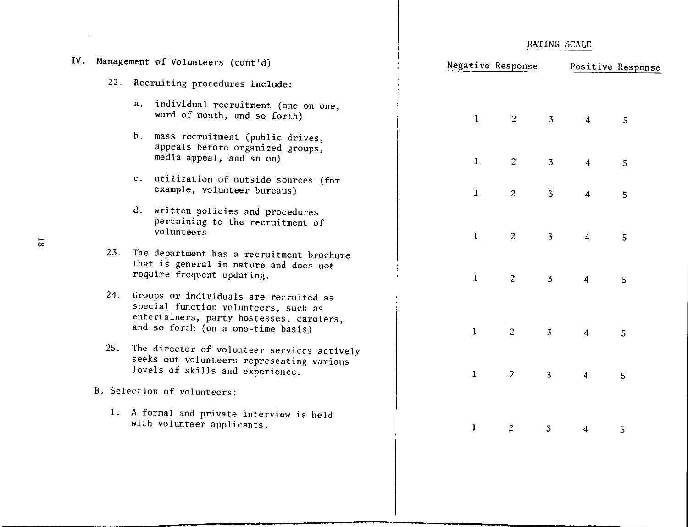|   |     | IV. Management of Volunteers (cont'd)                                                                                                                                | Negative Response |                |                |                | Positive Response |
|---|-----|----------------------------------------------------------------------------------------------------------------------------------------------------------------------|-------------------|----------------|----------------|----------------|-------------------|
|   |     | 22. Recruiting procedures include:                                                                                                                                   |                   |                |                |                |                   |
|   |     | a. individual recruitment (one on one,<br>word of mouth, and so forth)                                                                                               | $\mathbf{1}$      | 2              | $\overline{3}$ | $\overline{4}$ | 5                 |
|   |     | b.<br>mass recruitment (public drives,<br>appeals before organized groups,<br>media appeal, and so on)                                                               | $\mathbf{1}$      | $\overline{2}$ | $\overline{3}$ | 4              | 5                 |
|   |     | c. utilization of outside sources (for<br>example, volunteer bureaus)                                                                                                | $\mathbf{1}$      | $\overline{2}$ | $\mathbf{3}$   | $\overline{4}$ | 5                 |
|   |     | d. written policies and procedures<br>pertaining to the recruitment of<br>volunteers                                                                                 | $\mathbf{I}$      | $\overline{c}$ | $\overline{3}$ | $\overline{4}$ | 5                 |
| ∞ | 23. | The department has a recruitment brochure<br>that is general in nature and does not<br>require frequent updating.                                                    | $\mathbf{1}$      | $\overline{2}$ | 3              | 4              | 5                 |
|   |     | 24. Groups or individuals are recruited as<br>special function volunteers, such as<br>entertainers, party hostesses, carolers,<br>and so forth (on a one-time basis) | $\mathbf{1}$      | $\overline{c}$ | $\mathbf{3}$   | 4              | 5                 |
|   | 25. | The director of volunteer services actively<br>seeks out volunteers representing various<br>levels of skills and experience.                                         | $\mathbf{1}$      | $\overline{2}$ | $\overline{3}$ | 4              | 5 <sub>5</sub>    |
|   |     | B. Selection of volunteers:                                                                                                                                          |                   |                |                |                |                   |
|   |     | 1. A formal and private interview is held<br>with volunteer applicants.                                                                                              | $\mathbf{1}$      | $\overline{c}$ | $\overline{3}$ | 4              | 5                 |
|   |     |                                                                                                                                                                      |                   |                |                |                |                   |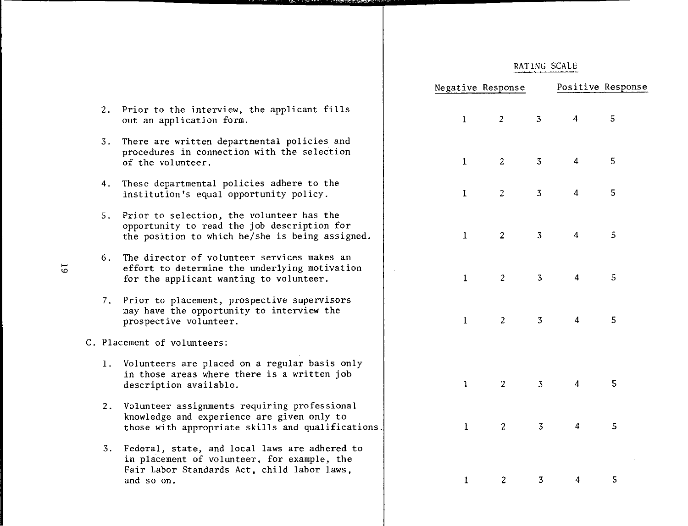|    |                                                                                                                                                              | Negative Response |                |                | Positive Response       |   |
|----|--------------------------------------------------------------------------------------------------------------------------------------------------------------|-------------------|----------------|----------------|-------------------------|---|
|    | 2. Prior to the interview, the applicant fills<br>out an application form.                                                                                   | $\mathbf{1}$      | $\overline{2}$ | 3              | 4                       | 5 |
|    | 3. There are written departmental policies and<br>procedures in connection with the selection<br>of the volunteer.                                           | $\mathbf{1}$      | $\overline{2}$ | $\overline{3}$ | $\overline{4}$          | 5 |
|    | 4. These departmental policies adhere to the<br>institution's equal opportunity policy.                                                                      | $\mathbf{1}$      | $\overline{2}$ | $\overline{3}$ | $\overline{4}$          | 5 |
|    | 5. Prior to selection, the volunteer has the<br>opportunity to read the job description for<br>the position to which he/she is being assigned.               | $\mathbf{1}$      | 2              | 3              | $\overline{4}$          | 5 |
| 6. | The director of volunteer services makes an<br>effort to determine the underlying motivation<br>for the applicant wanting to volunteer.                      | $\mathbf{1}$      | 2              | 3              | $\overline{\mathbf{4}}$ | 5 |
|    | 7. Prior to placement, prospective supervisors<br>may have the opportunity to interview the<br>prospective volunteer.                                        | $\mathbf{1}$      | 2              | 3              | $\overline{\mathbf{4}}$ | 5 |
|    | C. Placement of volunteers:                                                                                                                                  |                   |                |                |                         |   |
|    | 1. Volunteers are placed on a regular basis only<br>in those areas where there is a written job<br>description available.                                    | $\mathbf{1}$      | $\overline{2}$ | $\overline{3}$ | $\overline{4}$          | 5 |
|    | 2. Volunteer assignments requiring professional<br>knowledge and experience are given only to<br>those with appropriate skills and qualifications.           | $\mathbf{1}$      | $\overline{c}$ | $\overline{3}$ | $\overline{\mathbf{4}}$ | 5 |
|    | 3. Federal, state, and local laws are adhered to<br>in placement of volunteer, for example, the<br>Fair Labor Standards Act, child labor laws,<br>and so on. | $\mathbf{1}$      | $\overline{2}$ | 3              | 4                       | 5 |
|    |                                                                                                                                                              |                   |                |                |                         |   |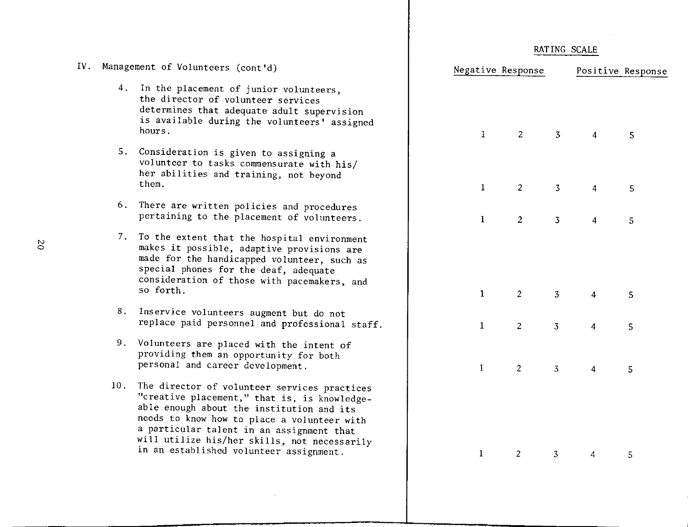$\sim 10^{-1}$ 

|     | IV. Management of Volunteers (cont'd)                                                                                                                                                                                                                                                                                            |              | Negative Response |                |                | Positive Response |
|-----|----------------------------------------------------------------------------------------------------------------------------------------------------------------------------------------------------------------------------------------------------------------------------------------------------------------------------------|--------------|-------------------|----------------|----------------|-------------------|
|     | 4. In the placement of junior volunteers,<br>the director of volunteer services<br>determines that adequate adult supervision<br>is available during the volunteers' assigned<br>hours.                                                                                                                                          | $\mathbf{1}$ | $\overline{2}$    | $\overline{3}$ | $\overline{4}$ | 5                 |
|     | 5. Consideration is given to assigning a<br>volunteer to tasks commensurate with his/<br>her abilities and training, not beyond<br>them.                                                                                                                                                                                         | $\mathbf{1}$ | $\overline{2}$    | $\overline{3}$ | $\overline{4}$ | 5                 |
|     | 6. There are written policies and procedures<br>pertaining to the placement of volunteers.                                                                                                                                                                                                                                       | $\mathbf{1}$ | $\overline{2}$    | $\overline{3}$ | 4              | 5                 |
|     | 7. To the extent that the hospital environment<br>makes it possible, adaptive provisions are<br>made for the handicapped volunteer, such as<br>special phones for the deaf, adequate<br>consideration of those with pacemakers, and<br>so forth.                                                                                 | $\mathbf{I}$ | $\overline{2}$    | 3              | 4              | 5                 |
| 8.  | Inservice volunteers augment but do not<br>replace paid personnel and professional staff.                                                                                                                                                                                                                                        | $\mathbf{1}$ | 2 <sup>1</sup>    | $\overline{3}$ | $\overline{4}$ | 5                 |
|     | 9. Volunteers are placed with the intent of<br>providing them an opportunity for both<br>personal and career development.                                                                                                                                                                                                        | $\mathbf{1}$ | $\overline{2}$    | $\overline{3}$ | 4              | 5                 |
| 10. | The director of volunteer services practices<br>"creative placement," that is, is knowledge-<br>able enough about the institution and its<br>needs to know how to place a volunteer with<br>a particular talent in an assignment that<br>will utilize his/her skills, not necessarily<br>in an established volunteer assignment. | 1            | $\overline{c}$    | 3              | 4              | 5                 |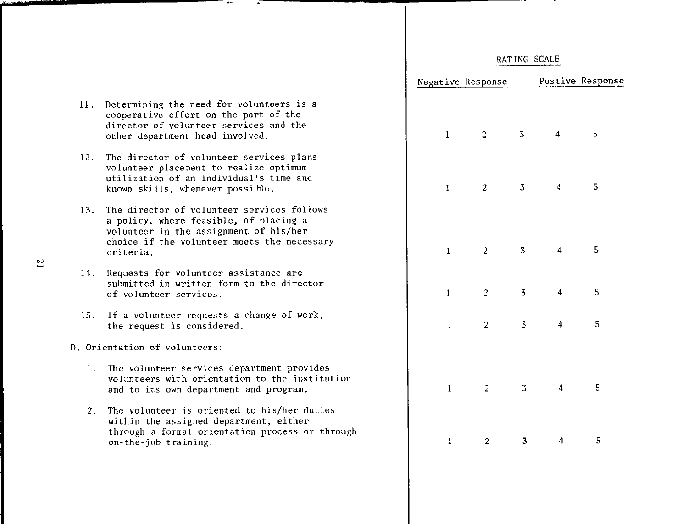|              | Negative Response       |                         | Postive Response        |   |
|--------------|-------------------------|-------------------------|-------------------------|---|
|              |                         |                         |                         |   |
| $\mathbf{1}$ | $\overline{c}$          | $\overline{\mathbf{3}}$ | $\overline{\mathbf{4}}$ | 5 |
| $\bf{l}$     | $\overline{\mathbf{c}}$ | $\overline{\mathbf{3}}$ | $\overline{\mathbf{4}}$ | 5 |
| $\mathbf{1}$ | $\overline{c}$          | $\overline{\mathbf{3}}$ | $\overline{\mathbf{4}}$ | 5 |
| $\pmb{1}$    | $\overline{\mathbf{c}}$ | $\overline{\mathbf{3}}$ | 4                       | 5 |
| $\mathbf{l}$ | $\overline{\mathbf{c}}$ | 3                       | $\overline{4}$          | 5 |
|              |                         |                         |                         |   |
| $\mathbf{1}$ | $\overline{\mathbf{c}}$ | 3                       | $\overline{\mathbf{4}}$ | 5 |
| $\mathbf{1}$ | $\overline{\mathbf{c}}$ | 3                       | $\overline{\mathbf{r}}$ | 5 |

- **11.** Determining the need for volunteers is a cooperative effort on the part of the director of volunteer services and the other department head involved.
- 12. The director of volunteer services plans volunteer placement to realize optimum utilization of an individual's time and known skills, whenever possi hle.
- 13. The director of volunteer services follows a policy, where feasible, of placing a volunteer in the assignment of his/her choice if the volunteer meets the necessary criteria.
- 14. Requests for volunteer assistance are submitted in written form to the director of volunteer services.
- 15. If a volunteer requests a change of work., the request is considered.
- D. Orientation of volunteers:
	- **1.** The volunteer services department provides volunteers with orientation to the institution and to its own department and program.
	- 2. The volunteer is oriented to his/her duties within the assigned department, either through a formal orientation process or through on-the-job training.

 $\overline{c}$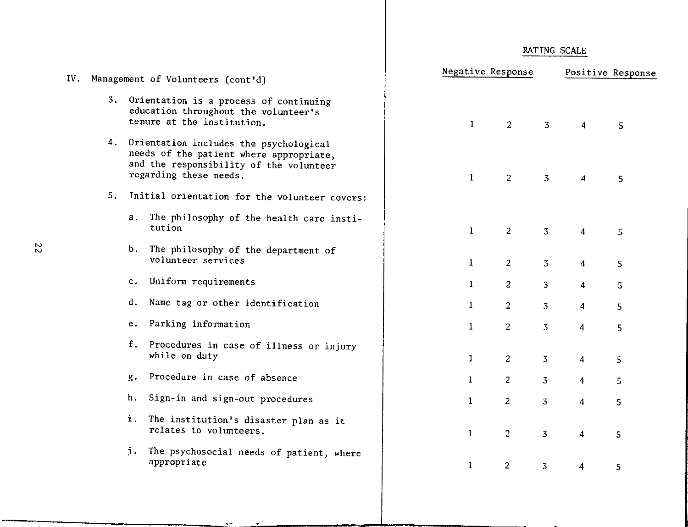| IV. |       | Management of Volunteers (cont'd)                                                                                                                         | Negative Response |                |                         |                         | Positive Response |
|-----|-------|-----------------------------------------------------------------------------------------------------------------------------------------------------------|-------------------|----------------|-------------------------|-------------------------|-------------------|
|     |       | 3. Orientation is a process of continuing<br>education throughout the volunteer's<br>tenure at the institution.                                           | $\mathbf{1}$      | $\overline{2}$ | $\overline{3}$          | 4                       | 5                 |
|     |       | 4. Orientation includes the psychological<br>needs of the patient where appropriate,<br>and the responsibility of the volunteer<br>regarding these needs. | $\mathbf{1}$      | $\overline{z}$ | $\overline{3}$          | 4                       | 5                 |
| 5.  |       | Initial orientation for the volunteer covers:                                                                                                             |                   |                |                         |                         |                   |
|     |       | a. The philosophy of the health care insti-<br>tution                                                                                                     | $\mathbf{1}$      | $\overline{2}$ | 3 <sup>7</sup>          | 4                       | 5                 |
|     |       | b. The philosophy of the department of<br>volunteer services                                                                                              | $\mathbf{1}$      | $\overline{2}$ | 3 <sup>7</sup>          | $\overline{4}$          | 5                 |
|     |       | c. Uniform requirements                                                                                                                                   | $\mathbf{1}$      | $\overline{2}$ | 3 <sub>o</sub>          | 4                       | 5                 |
|     | d.    | Name tag or other identification                                                                                                                          | $\mathbf{1}$      | $\overline{2}$ | 3 <sup>7</sup>          | $\overline{4}$          | 5                 |
|     |       | e. Parking information                                                                                                                                    | $\mathbf{1}$      | $\overline{2}$ | $\overline{3}$          | $\overline{4}$          | 5                 |
|     |       | f. Procedures in case of illness or injury<br>while on duty                                                                                               | $\mathbf{1}$      | $\overline{2}$ | 3 <sup>7</sup>          | $\overline{4}$          | 5                 |
|     | $g$ . | Procedure in case of absence                                                                                                                              | 1                 | $\overline{2}$ | $\overline{3}$          | $\overline{4}$          | 5                 |
|     | h.    | Sign-in and sign-out procedures                                                                                                                           | $\mathbf{1}$      | 2              | 3 <sup>7</sup>          | $\overline{\mathbf{4}}$ | 5                 |
|     |       | i. The institution's disaster plan as it<br>relates to volunteers.                                                                                        | $\mathbf{1}$      | $\overline{2}$ | $\overline{\mathbf{3}}$ | $\overline{\mathbf{4}}$ | 5                 |
|     |       | j. The psychosocial needs of patient, where<br>appropriate                                                                                                | $\mathbf{1}$      | $\overline{2}$ | 3 <sup>7</sup>          | 4                       | 5                 |
|     |       |                                                                                                                                                           |                   |                |                         |                         |                   |

 $\bullet$  m  $\bullet$ 

RATING SCALE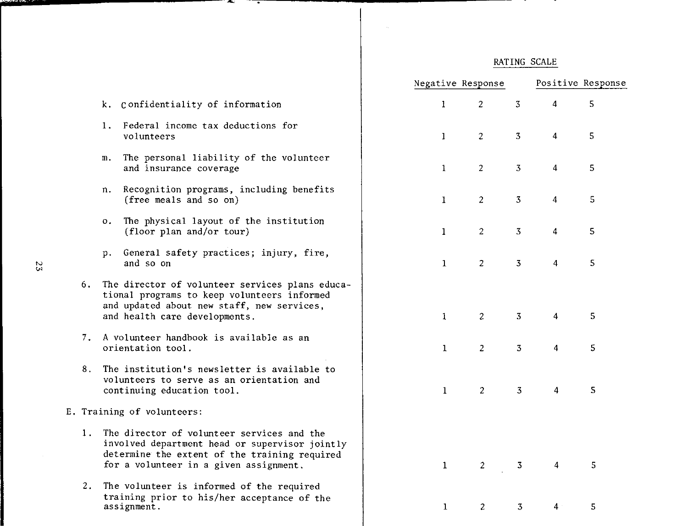<u>т</u>

|    |                                                                                                                                                                                            | Negative Response              |                |                | Positive Response |
|----|--------------------------------------------------------------------------------------------------------------------------------------------------------------------------------------------|--------------------------------|----------------|----------------|-------------------|
|    | k. Confidentiality of information                                                                                                                                                          | $\mathbf{I}$<br>$\overline{2}$ | $\overline{3}$ | $\overline{4}$ | 5                 |
|    | 1. Federal income tax deductions for<br>volunteers                                                                                                                                         | $\overline{2}$<br>$\mathbf{I}$ | 3              | $\overline{4}$ | 5                 |
|    | The personal liability of the volunteer<br>m.<br>and insurance coverage                                                                                                                    | $\overline{2}$<br>$\mathbf{1}$ | 3              | 4              | 5                 |
|    | Recognition programs, including benefits<br>n.<br>(free meals and so on)                                                                                                                   | $\overline{c}$<br>$\mathbf{1}$ | 3              | $\overline{4}$ | 5                 |
|    | The physical layout of the institution<br>$\mathbf{o}$ .<br>(floor plan and/or tour)                                                                                                       | $\overline{2}$<br>$\mathbf{1}$ | 3              | 4              | 5                 |
|    | General safety practices; injury, fire,<br>р.<br>and so on                                                                                                                                 | $\mathbf{1}$<br>$\overline{2}$ | $\overline{3}$ | $\overline{4}$ | 5                 |
| 6. | The director of volunteer services plans educa-<br>tional programs to keep volunteers informed<br>and updated about new staff, new services,<br>and health care developments.              | $\mathbf{1}$<br>$\overline{2}$ | $\overline{3}$ | 4              | 5                 |
| 7. | A volunteer handbook is available as an<br>orientation tool.                                                                                                                               | $\mathbf{1}$<br>$\overline{2}$ | $\overline{3}$ | $\overline{4}$ | 5                 |
| 8. | The institution's newsletter is available to<br>volunteers to serve as an orientation and<br>continuing education tool.                                                                    | $\overline{2}$<br>$\mathbf{1}$ | 3              | $\overline{4}$ | 5                 |
|    | E. Training of volunteers:                                                                                                                                                                 |                                |                |                |                   |
|    | 1. The director of volunteer services and the<br>involved department head or supervisor jointly<br>determine the extent of the training required<br>for a volunteer in a given assignment. | $\mathbf{1}$<br>$\overline{2}$ | 3              | 4              | 5                 |
| 2. | The volunteer is informed of the required<br>training prior to his/her acceptance of the<br>assignment.                                                                                    | $\mathbf{1}$<br>$\overline{c}$ | 3              | 4 <sup>1</sup> | 5                 |

 $\sim$ 

 $\cdot$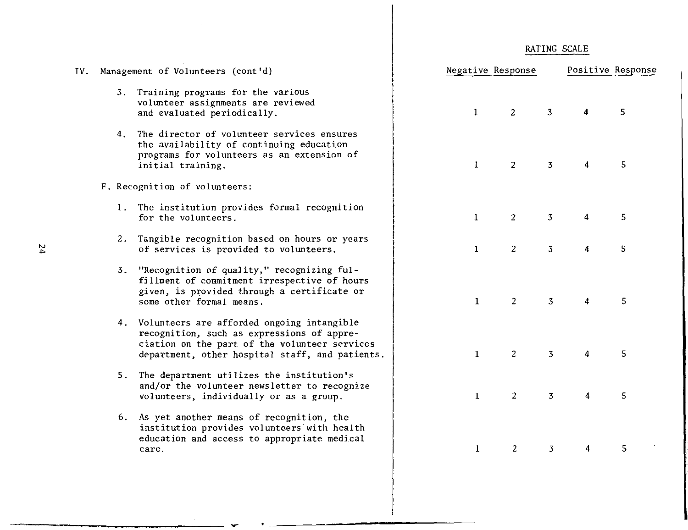|  | RATING SCALE |
|--|--------------|
|  |              |

|                                                                |              | Negative Response |                         | Positive Response       |                         |  |
|----------------------------------------------------------------|--------------|-------------------|-------------------------|-------------------------|-------------------------|--|
|                                                                | $\mathbf 1$  | $\boldsymbol{2}$  | $\overline{\mathbf{3}}$ | $\overline{\mathbf{4}}$ | 5                       |  |
|                                                                | $\mathbf{1}$ | $\overline{c}$    | ${\bf 3}$               | $\boldsymbol{4}$        | $\overline{\mathbf{5}}$ |  |
| ì                                                              | $\mathbf 1$  | $\overline{c}$    | $\mathfrak{Z}$          | $\boldsymbol{4}$        | $\sf 5$                 |  |
| rs                                                             | $\mathbf{1}$ | $\sqrt{2}$        | $\overline{3}$          | $\overline{\mathbf{4}}$ | $\overline{\mathbf{5}}$ |  |
| rs<br>r.                                                       | $\mathbf{1}$ | $\overline{c}$    | $\overline{3}$          | $\overline{\mathbf{4}}$ | 5                       |  |
| $\mathop{\text{ces}}$<br>ents.                                 | $\mathbf 1$  | $\overline{c}$    | ${\bf 3}$               | $\overline{\mathbf{4}}$ | 5                       |  |
| ze                                                             | $\mathbf 1$  | $\overline{c}$    | $\overline{\mathbf{3}}$ | $\overline{\mathbf{4}}$ | 5                       |  |
| $\mathsf{h}% _{1}\left( \mathsf{h}\right) ^{T}$<br>$\mathbf i$ | $\mathbf 1$  | $\overline{c}$    | $\overline{\mathbf{3}}$ | $\overline{\mathbf{4}}$ | $\sf S$                 |  |

IV. Management of Volunteers (cont'd)

- 3. Training programs for the various volunteer assignments are reviewed and evaluated periodically.
- 4. The director of volunteer services ensures the availability of continuing education programs for volunteers as an extension of initial training.
- F. Recognition of volunteers:
	- 1. The institution provides formal recognition for the volunteers.
	- 2. Tangible recognition based on hours or year of services is provided to volunteers.
	- 3. "Recognition of quality," recognizing fulfillment of commitment irrespective of hour given, is provided through a certificate or some other formal means.
	- 4. Volunteers are afforded ongoing intangible recognition, such as expressions of appreciation on the part of the volunteer servic department, other hospital staff, and patie
	- 5. The department utilizes the institution's and/or the volunteer newsletter to recogniz volunteers, individually or as a group.
	- 6. As yet another means of recognition, the institution provides volunteers with health education and access to appropriate medical **care.**

•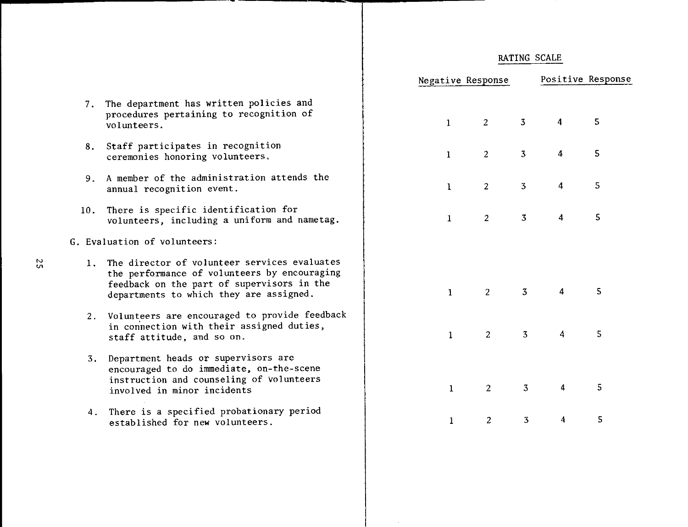|                                                               |              | Negative Response |                | Positive Response       |   |  |
|---------------------------------------------------------------|--------------|-------------------|----------------|-------------------------|---|--|
| icies and<br>nition of                                        | $\mathbf{1}$ | $\overline{2}$    | 3 <sup>7</sup> | $\overline{4}$          | 5 |  |
| ion<br>Ġ.                                                     | $\mathbf{1}$ | $\overline{2}$    | $\overline{3}$ | 4                       | 5 |  |
| attends the                                                   | $\mathbf{I}$ | $\overline{2}$    | $\overline{3}$ | $\overline{\mathbf{4}}$ | 5 |  |
| on for<br>m and nametag.                                      | $\mathbf{1}$ | $\overline{2}$    | $\overline{3}$ | $\overline{\mathbf{4}}$ | 5 |  |
| ices evaluates<br>by encouraging<br>isors in the<br>assigned. | $\mathbf{1}$ | $2^{\circ}$       | $\overline{3}$ | $\overline{4}$          | 5 |  |
| provide feedback<br>gned duties,                              | $\mathbf{1}$ | $\overline{2}$    | $\overline{3}$ | $\overline{4}$          | 5 |  |
| rs are<br>a-the-scene<br>volunteers                           | $\mathbf{1}$ | $\overline{2}$    | $\overline{3}$ | $\overline{\mathbf{4}}$ | 5 |  |
| nary period<br>$\mathsf{s}$ .                                 | $\mathbf{1}$ | $\overline{c}$    | $\overline{3}$ | 4                       | 5 |  |
|                                                               |              |                   |                |                         |   |  |

- 7. The department has written  $pol$ procedures pertaining to recog vo 1 unteers.
- 8. Staff participates in recognit: ceremonies honoring volunteers.
- 9. A member of the administration annual recognition event.
- 10. There is specific identificati volunteers, including a unifor
- G. Evaluation of volunteers:
	- 1. The director of volunteer serv the performance of volunteers feedback on the part of superv departments to which they are
	- 2. Volunteers are encouraged to p in connection with their assig staff attitude, and so on.
	- 3. Department heads or supervisor encouraged to do immediate, or instruction and counseling of involved in minor incidents
	- 4. There is a specified probation established for new volunteers.

 $\mathfrak{g}$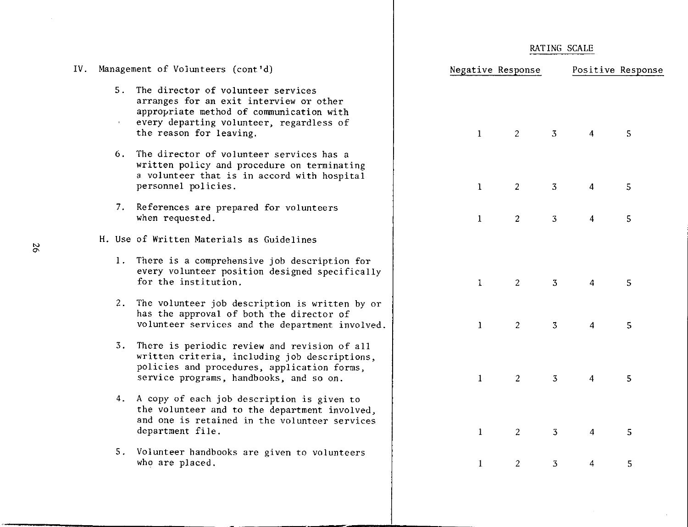$\sim$ 

| IV. | Management of Volunteers (cont'd)                                                                                                                                                                   | Negative Response |                |                |                         | Positive Response |
|-----|-----------------------------------------------------------------------------------------------------------------------------------------------------------------------------------------------------|-------------------|----------------|----------------|-------------------------|-------------------|
|     | 5. The director of volunteer services<br>arranges for an exit interview or other<br>appropriate method of communication with<br>every departing volunteer, regardless of<br>the reason for leaving. | $\mathbf{1}$      | 2              | $\overline{3}$ | 4                       | 5.                |
|     | 6. The director of volunteer services has a<br>written policy and procedure on terminating<br>a volunteer that is in accord with hospital<br>personnel policies.                                    | $\mathbf{1}$      | $\overline{2}$ | $\overline{3}$ | 4                       | 5                 |
|     | 7. References are prepared for volunteers<br>when requested.                                                                                                                                        | $\mathbf{1}$      | $\overline{2}$ | $\overline{3}$ | 4                       | 5                 |
|     | H. Use of Written Materials as Guidelines                                                                                                                                                           |                   |                |                |                         |                   |
|     | 1. There is a comprehensive job description for<br>every volunteer position designed specifically<br>for the institution.                                                                           | $\mathbf{I}$      | $\overline{2}$ | $\overline{3}$ | $\overline{4}$          | 5                 |
|     | 2. The volunteer job description is written by or<br>has the approval of both the director of<br>volunteer services and the department involved.                                                    | $\mathbf{1}$      | 2              | $\overline{3}$ | $\overline{\mathbf{4}}$ | 5                 |
|     | 3. There is periodic review and revision of all<br>written criteria, including job descriptions,<br>policies and procedures, application forms,<br>service programs, handbooks, and so on.          | $\mathbf{1}$      | $\overline{2}$ | $\overline{3}$ | $\overline{4}$          | 5                 |
|     | 4. A copy of each job description is given to<br>the volunteer and to the department involved,<br>and one is retained in the volunteer services<br>department file.                                 | $\bf{l}$          | $\overline{2}$ | 3              | $\overline{4}$          | 5                 |
|     | 5. Volunteer handbooks are given to volunteers<br>who are placed.                                                                                                                                   | 1                 | $\overline{c}$ | 3              | 4                       | 5                 |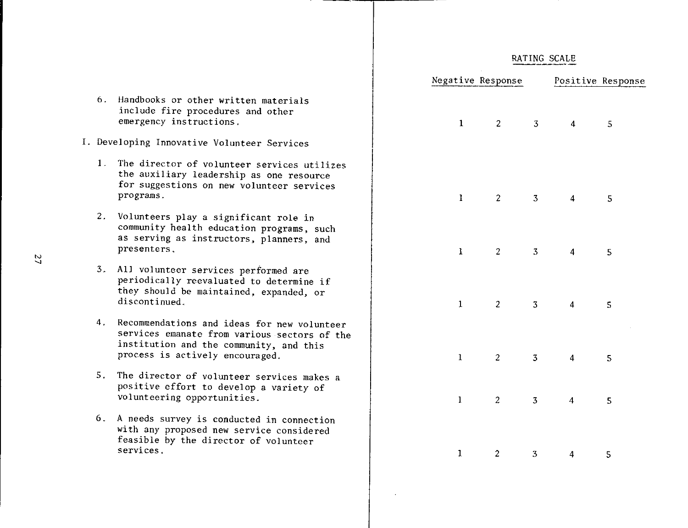|                          |                |                         | Negative Response Positive Response |   |
|--------------------------|----------------|-------------------------|-------------------------------------|---|
| $\mathbf{I}_{\parallel}$ | $\overline{2}$ | $\overline{\mathbf{3}}$ | $\boldsymbol{4}$                    | 5 |
| $\mathbf{1}$             | $\overline{2}$ | $\overline{3}$          | $\overline{\mathbf{4}}$             | 5 |
| $\mathbf{I}$             | $\overline{c}$ | $\overline{\mathbf{3}}$ | $\overline{\mathbf{4}}$             | 5 |
| $\mathbf{1}$             | $\overline{2}$ | $\overline{3}$          | $\overline{\mathbf{r}}$             | 5 |
| $\mathbf{1}$             | $\overline{c}$ | $\overline{\mathbf{3}}$ | $\overline{\mathbf{4}}$             | 5 |
| $\mathbf{1}$             | $\overline{c}$ | $\overline{3}$          | $\overline{\mathbf{4}}$             | 5 |
| $\mathbf{1}$             | $\overline{c}$ | $\sqrt{3}$              | $\overline{4}$                      | 5 |

- 6. Handbooks or other written materials include fire procedures and other emergency instructions.
- I. Developing Innovative Volunteer Services
	- 1. The director of volunteer services utilizes the auxiliary leadership as one resource for suggestions on new volunteer services programs.
	- 2. Volunteers play a significant role in community health education programs, such as serving as instructors, planners, and presenters.
	- 3. All volunteer services performed are periodically reevaluated to determine if they should be maintained, expanded, or discontinued.
	- 4. Recommendations and ideas for new volunteer services emanate from various sectors of the institution and the community, and this process is actively encouraged.
	- 5. The director of volunteer services makes a positive effort to develop a variety of volunteering opportunities.
	- 6. A needs survey is conducted in connection with any proposed new service considered feasible by the director of volunteer services.

N "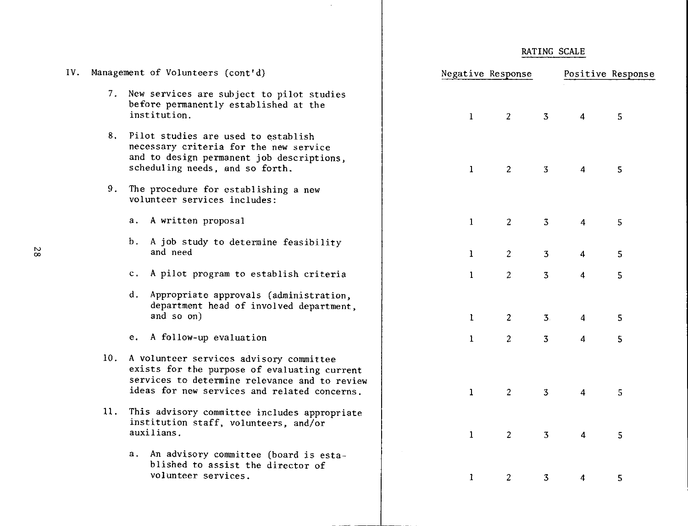| 7. New services are subject to pilot studies<br>before permanently established at the<br>institution.<br>$\mathbf{1}$<br>$\overline{3}$<br>$\overline{2}$<br>4<br>8. Pilot studies are used to establish<br>necessary criteria for the new service<br>and to design permanent job descriptions,<br>scheduling needs, and so forth.<br>$\overline{3}$<br>2<br>$\mathbf{1}$<br>$\overline{4}$<br>9.<br>The procedure for establishing a new<br>volunteer services includes:<br>A written proposal<br>$\overline{3}$<br>$\mathbf{1}$<br>$\overline{2}$<br>а.<br>4<br>b.<br>A job study to determine feasibility<br>and need<br>$\overline{2}$<br>$\overline{\mathbf{3}}$<br>1<br>4<br>A pilot program to establish criteria<br>c.<br>$\overline{2}$<br>$3^{\circ}$<br>$\mathbf{1}$<br>4<br>Appropriate approvals (administration,<br>d.<br>department head of involved department,<br>and so on)<br>$\mathbf{1}$<br>$\overline{2}$<br>3 <sub>1</sub><br>4<br>A follow-up evaluation<br>е.<br>$\mathbf{1}$<br>$\overline{2}$<br>$\overline{3}$<br>$\overline{4}$<br>10. A volunteer services advisory committee<br>exists for the purpose of evaluating current<br>services to determine relevance and to review<br>ideas for new services and related concerns.<br>2<br>$\overline{3}$<br>$\mathbf{1}$<br>4 | Positive Response | Negative Response | Management of Volunteers (cont'd) | IV. |
|----------------------------------------------------------------------------------------------------------------------------------------------------------------------------------------------------------------------------------------------------------------------------------------------------------------------------------------------------------------------------------------------------------------------------------------------------------------------------------------------------------------------------------------------------------------------------------------------------------------------------------------------------------------------------------------------------------------------------------------------------------------------------------------------------------------------------------------------------------------------------------------------------------------------------------------------------------------------------------------------------------------------------------------------------------------------------------------------------------------------------------------------------------------------------------------------------------------------------------------------------------------------------------------------------------|-------------------|-------------------|-----------------------------------|-----|
|                                                                                                                                                                                                                                                                                                                                                                                                                                                                                                                                                                                                                                                                                                                                                                                                                                                                                                                                                                                                                                                                                                                                                                                                                                                                                                          | $5\phantom{.0}$   |                   |                                   |     |
|                                                                                                                                                                                                                                                                                                                                                                                                                                                                                                                                                                                                                                                                                                                                                                                                                                                                                                                                                                                                                                                                                                                                                                                                                                                                                                          | $\overline{5}$    |                   |                                   |     |
|                                                                                                                                                                                                                                                                                                                                                                                                                                                                                                                                                                                                                                                                                                                                                                                                                                                                                                                                                                                                                                                                                                                                                                                                                                                                                                          |                   |                   |                                   |     |
|                                                                                                                                                                                                                                                                                                                                                                                                                                                                                                                                                                                                                                                                                                                                                                                                                                                                                                                                                                                                                                                                                                                                                                                                                                                                                                          | 5                 |                   |                                   |     |
|                                                                                                                                                                                                                                                                                                                                                                                                                                                                                                                                                                                                                                                                                                                                                                                                                                                                                                                                                                                                                                                                                                                                                                                                                                                                                                          | 5                 |                   |                                   |     |
|                                                                                                                                                                                                                                                                                                                                                                                                                                                                                                                                                                                                                                                                                                                                                                                                                                                                                                                                                                                                                                                                                                                                                                                                                                                                                                          | 5                 |                   |                                   |     |
|                                                                                                                                                                                                                                                                                                                                                                                                                                                                                                                                                                                                                                                                                                                                                                                                                                                                                                                                                                                                                                                                                                                                                                                                                                                                                                          | 5                 |                   |                                   |     |
|                                                                                                                                                                                                                                                                                                                                                                                                                                                                                                                                                                                                                                                                                                                                                                                                                                                                                                                                                                                                                                                                                                                                                                                                                                                                                                          | 5                 |                   |                                   |     |
|                                                                                                                                                                                                                                                                                                                                                                                                                                                                                                                                                                                                                                                                                                                                                                                                                                                                                                                                                                                                                                                                                                                                                                                                                                                                                                          | 5                 |                   |                                   |     |
| 11.<br>This advisory committee includes appropriate<br>institution staff, volunteers, and/or<br>auxilians.<br>$\overline{2}$<br>$\overline{3}$<br>$\mathbf{1}$<br>4                                                                                                                                                                                                                                                                                                                                                                                                                                                                                                                                                                                                                                                                                                                                                                                                                                                                                                                                                                                                                                                                                                                                      | 5                 |                   |                                   |     |
| a. An advisory committee (board is esta-<br>blished to assist the director of<br>volunteer services.<br>1<br>$\overline{2}$<br>3<br>4                                                                                                                                                                                                                                                                                                                                                                                                                                                                                                                                                                                                                                                                                                                                                                                                                                                                                                                                                                                                                                                                                                                                                                    | 5.                |                   |                                   |     |

 $\sim$ 

RATING SCALE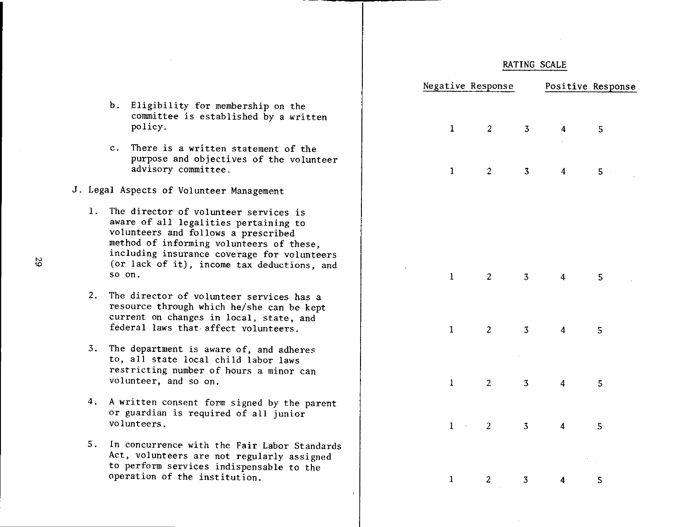|    | Negative Response                                                                |                         |                         |                         | Positive Response  |
|----|----------------------------------------------------------------------------------|-------------------------|-------------------------|-------------------------|--------------------|
|    |                                                                                  |                         |                         |                         |                    |
|    | $\mathbf{1}$                                                                     | $\overline{\mathbf{c}}$ | $\overline{\mathbf{3}}$ | $\overline{\mathbf{4}}$ | 5                  |
|    |                                                                                  |                         |                         |                         |                    |
|    | $\mathbf{1}$                                                                     | $\overline{c}$          | $\overline{\mathbf{3}}$ | $\overline{\mathbf{4}}$ | 5<br>$\bar{\beta}$ |
|    |                                                                                  |                         |                         |                         |                    |
|    |                                                                                  |                         |                         |                         |                    |
|    |                                                                                  |                         |                         |                         |                    |
| ł, | $\mathbf{1}$                                                                     | $\overline{c}$          | $\overline{\mathbf{3}}$ | $\overline{\mathbf{4}}$ | 5                  |
|    |                                                                                  |                         |                         |                         |                    |
|    | $\mathbf{1}$                                                                     | $\overline{\mathbf{c}}$ | ${\bf 3}$               | $\overline{\mathbf{4}}$ | 5                  |
|    |                                                                                  |                         |                         |                         |                    |
|    | $\mathbf{I}% _{t}\left  \mathbf{I}_{t}\right  ^{-1}\left  \mathbf{I}_{t}\right $ | $\overline{c}$          | $\overline{\mathbf{3}}$ | $\overline{\mathbf{4}}$ | 5                  |
|    |                                                                                  |                         |                         |                         |                    |
|    | $\mathbf{1}$<br>$\epsilon$ .                                                     | $\overline{c}$          | $\overline{\mathbf{3}}$ | $\ddot{4}$              | 5                  |
|    |                                                                                  |                         |                         |                         | l.                 |
|    | $\mathbf{1}$                                                                     | $\overline{\mathbf{c}}$ | 3                       | $\overline{\mathbf{r}}$ | 5                  |
|    |                                                                                  |                         |                         |                         |                    |

- b. Eligibility for membership on the committee is established by a written policy.
- c. There is a written statement of the purpose and objectives of the volunteer advisory committee.
- J. Legal Aspects of Volunteer Management
	- 1. The director of volunteer services is aware of all legalities pertaining to volunteers and follows a prescribed method of informing volunteers of these, including insurance coverage for volunteers (or lack of it), income tax deductions, and so on.
	- 2. The director of volunteer services has a resource through which he/she can be kept current on changes in local, state, and federal laws that affect volunteers.
	- 3. The department is aware of, and adheres to, all state local child labor laws restricting number of hours a minor can volunteer, and so on.
	- 4. A written consent form signed by the parent or guardian is required of all junior volunteers.
	- 5. In concurrence with the Fair Labor Standards Act, volunteers are not regularly assigned to perform services indispensable to the operation of the institution.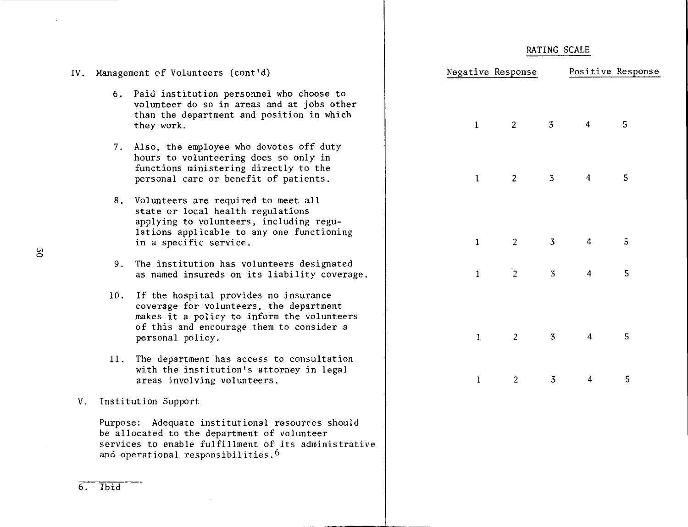|  | RATING SCALE |  |
|--|--------------|--|
|  |              |  |

| IV. |     | Management of Volunteers (cont'd)                                                                                                                                                                         | Negative Response |                |                | Positive Respons |             |
|-----|-----|-----------------------------------------------------------------------------------------------------------------------------------------------------------------------------------------------------------|-------------------|----------------|----------------|------------------|-------------|
|     |     | 6. Paid institution personnel who choose to<br>volunteer do so in areas and at jobs other<br>than the department and position in which<br>they work.                                                      | $\mathbf{1}$      | $\overline{2}$ | $\overline{3}$ | 4                | $5^{\circ}$ |
|     |     | 7. Also, the employee who devotes off duty<br>hours to volunteering does so only in<br>functions ministering directly to the<br>personal care or benefit of patients.                                     | $\mathbf{1}$      | $\overline{2}$ | $\overline{3}$ | $\overline{4}$   | 5           |
|     |     | 8. Volunteers are required to meet all<br>state or local health regulations<br>applying to volunteers, including regu-<br>lations applicable to any one functioning<br>in a specific service.             | $\mathbf{1}$      | $\overline{2}$ | $\overline{3}$ | 4                | 5           |
|     | 9.  | The institution has volunteers designated<br>as named insureds on its liability coverage.                                                                                                                 | $\mathbf{1}$      | $\overline{2}$ | $\overline{3}$ | 4                | 5           |
|     | 10. | If the hospital provides no insurance<br>coverage for volunteers, the department<br>makes it a policy to inform the volunteers<br>of this and encourage them to consider a<br>personal policy.            | $\mathbf{1}$      | 2              | $\overline{3}$ | $\overline{4}$   | 5           |
|     | 11. | The department has access to consultation<br>with the institution's attorney in legal<br>areas involving volunteers.                                                                                      | $\mathbf{1}$      | 2              | $\overline{3}$ | 4                | 5           |
| V.  |     | Institution Support                                                                                                                                                                                       |                   |                |                |                  |             |
|     |     | Purpose: Adequate institutional resources should<br>be allocated to the department of volunteer<br>services to enable fulfillment of its administrative<br>and operational responsibilities. <sup>6</sup> |                   |                |                |                  |             |

 $\sim 10$ 

6. Ibid

 $\sim$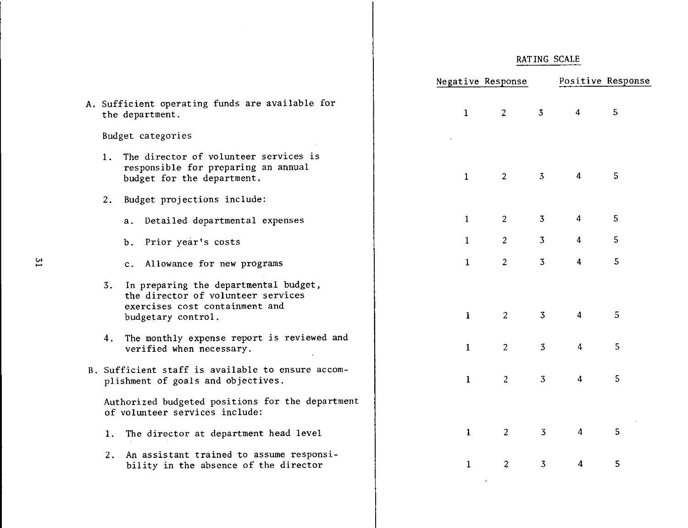|                                                                                                                                           | Negative Response |                                  |                         | Positive Response |
|-------------------------------------------------------------------------------------------------------------------------------------------|-------------------|----------------------------------|-------------------------|-------------------|
| A. Sufficient operating funds are available for<br>the department.                                                                        | $\mathbf{1}$      | $\overline{2}$<br>$\overline{3}$ | $\overline{4}$          | 5 <sub>1</sub>    |
| Budget categories                                                                                                                         |                   |                                  |                         |                   |
| The director of volunteer services is<br>1.<br>responsible for preparing an annual<br>budget for the department.                          | $\mathbf{1}$      | 3<br>$\overline{2}$              | $\overline{4}$          | 5                 |
| Budget projections include:<br>2.                                                                                                         |                   |                                  |                         |                   |
| a. Detailed departmental expenses                                                                                                         | $\mathbf{1}$      | 3<br>$\overline{2}$              | $\overline{4}$          | 5 <sub>o</sub>    |
| b. Prior year's costs                                                                                                                     | $\mathbf{1}$      | $\overline{2}$<br>$\overline{3}$ | $\overline{4}$          | 5                 |
| c. Allowance for new programs                                                                                                             | $\mathbf{1}$      | $\overline{2}$<br>$\overline{3}$ | $\overline{4}$          | 5                 |
| In preparing the departmental budget,<br>3.<br>the director of volunteer services<br>exercises cost containment and<br>budgetary control. | $\mathbf{I}$      | $\overline{2}$<br>3              | $\overline{\mathbf{4}}$ | 5                 |
| 4. The monthly expense report is reviewed and<br>verified when necessary.                                                                 | $\mathbf{1}$      | $\overline{3}$<br>2              | 4                       | 5                 |
| B. Sufficient staff is available to ensure accom-<br>plishment of goals and objectives.                                                   | $\mathbf{1}$      | 2 <sup>1</sup><br>3              | $\overline{4}$          | 5                 |
| Authorized budgeted positions for the department<br>of volunteer services include:                                                        |                   |                                  |                         |                   |
| 1. The director at department head level                                                                                                  | $\mathbf{1}$      | 3<br>$\overline{2}$              | $\overline{\mathbf{4}}$ | 5                 |
| An assistant trained to assume responsi-<br>2.<br>bility in the absence of the director                                                   | 1                 | $\overline{2}$<br>$\overline{3}$ | 4                       | 5                 |
|                                                                                                                                           |                   |                                  |                         |                   |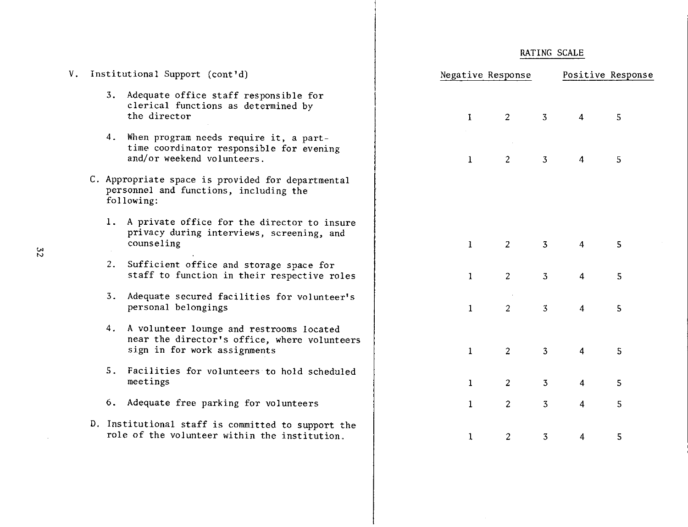| V. Institutional Support (cont'd) |  |                                                                                                                             | Negative Response |                |                | Positive Response       |   |  |
|-----------------------------------|--|-----------------------------------------------------------------------------------------------------------------------------|-------------------|----------------|----------------|-------------------------|---|--|
|                                   |  | 3. Adequate office staff responsible for<br>clerical functions as determined by<br>the director                             | $\mathbf{I}$      | $\overline{2}$ | $\overline{3}$ | $\overline{4}$          | 5 |  |
|                                   |  | 4. When program needs require it, a part-<br>time coordinator responsible for evening<br>and/or weekend volunteers.         | $\mathbf{1}$      | 2 <sup>1</sup> | $\overline{3}$ | $\overline{4}$          | 5 |  |
|                                   |  | C. Appropriate space is provided for departmental<br>personnel and functions, including the<br>following:                   |                   |                |                |                         |   |  |
|                                   |  | 1. A private office for the director to insure<br>privacy during interviews, screening, and<br>counseling                   | $\mathbf{1}$      | 2 <sup>1</sup> | $\overline{3}$ | 4                       | 5 |  |
|                                   |  | 2. Sufficient office and storage space for<br>staff to function in their respective roles                                   | $\mathbf{1}$      | $\overline{2}$ | 3 <sup>7</sup> | 4                       | 5 |  |
|                                   |  | 3. Adequate secured facilities for volunteer's<br>personal belongings                                                       | $\mathbf{1}$      | $\overline{2}$ | $\overline{3}$ | $\overline{4}$          | 5 |  |
|                                   |  | 4. A volunteer lounge and restrooms located<br>near the director's office, where volunteers<br>sign in for work assignments | $\mathbf{1}$      | $\overline{2}$ | 3 <sup>1</sup> | $\overline{4}$          | 5 |  |
|                                   |  | 5. Facilities for volunteers to hold scheduled<br>meetings                                                                  | $\mathbf{1}$      | $\overline{2}$ | $\overline{3}$ | $\overline{\mathbf{4}}$ | 5 |  |
|                                   |  | 6. Adequate free parking for volunteers                                                                                     | $\mathbf{1}$      | $\overline{c}$ | 3 <sub>1</sub> | $\overline{4}$          | 5 |  |
|                                   |  | D. Institutional staff is committed to support the<br>role of the volunteer within the institution.                         | $\mathbf{1}$      | $\overline{c}$ | $\overline{3}$ | $\overline{4}$          | 5 |  |

 $\sim 10^6$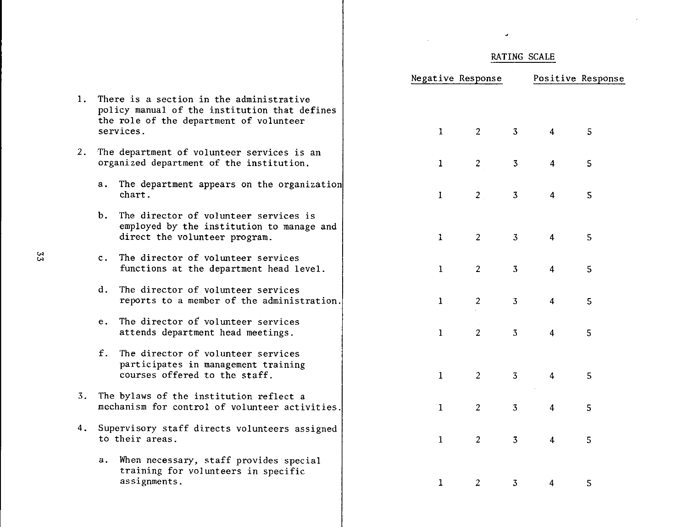$\bar{\mathbf{v}}$ 

 $\hat{\mathcal{L}}$ 

 $\bar{z}$ 

|    |                                                                                                                                                   | Negative Response |              |                |                | Positive Response |    |  |
|----|---------------------------------------------------------------------------------------------------------------------------------------------------|-------------------|--------------|----------------|----------------|-------------------|----|--|
| 1. | There is a section in the administrative<br>policy manual of the institution that defines<br>the role of the department of volunteer<br>services. |                   | $\mathbf{1}$ | $2^{\circ}$    | $\overline{3}$ | $\overline{4}$    | 5  |  |
| 2. | The department of volunteer services is an<br>organized department of the institution.                                                            |                   | $\mathbf{1}$ | $\overline{c}$ | $\overline{3}$ | 4                 | 5  |  |
|    | a. The department appears on the organization<br>chart.                                                                                           |                   | $\mathbf{I}$ | $\overline{2}$ | $\overline{3}$ | $\overline{4}$    | 5  |  |
|    | The director of volunteer services is<br>b.<br>employed by the institution to manage and<br>direct the volunteer program.                         |                   | $\mathbf{1}$ | $\overline{2}$ | $\mathfrak{Z}$ | 4                 | 5  |  |
|    | c. The director of volunteer services<br>functions at the department head level.                                                                  |                   | $\mathbf{1}$ | 2              | $\overline{3}$ | $\overline{4}$    | 5  |  |
|    | The director of volunteer services<br>d.<br>reports to a member of the administration.                                                            |                   | $\mathbf{1}$ | $\overline{2}$ | $\overline{3}$ | 4                 | 5  |  |
|    | The director of volunteer services<br>e.<br>attends department head meetings.                                                                     |                   | $\mathbf{1}$ | $\overline{2}$ | $\overline{3}$ | $\overline{4}$    | 5  |  |
|    | $f_{\rm{L}}$<br>The director of volunteer services<br>participates in management training<br>courses offered to the staff.                        |                   | $\mathbf{1}$ | $\overline{2}$ | $\overline{3}$ | $\overline{4}$    | 5  |  |
| 3. | The bylaws of the institution reflect a<br>mechanism for control of volunteer activities.                                                         |                   | $\mathbf{1}$ | 2              | 3 <sup>7</sup> | 4                 | 5. |  |
| 4. | Supervisory staff directs volunteers assigned<br>to their areas.                                                                                  |                   | $\mathbf{1}$ | $\overline{2}$ | $\overline{3}$ | $\overline{4}$    | 5  |  |
|    | When necessary, staff provides special<br>a.<br>training for volunteers in specific<br>assignments.                                               |                   | $\mathbf{1}$ | 2              | $\overline{3}$ | 4                 | 5  |  |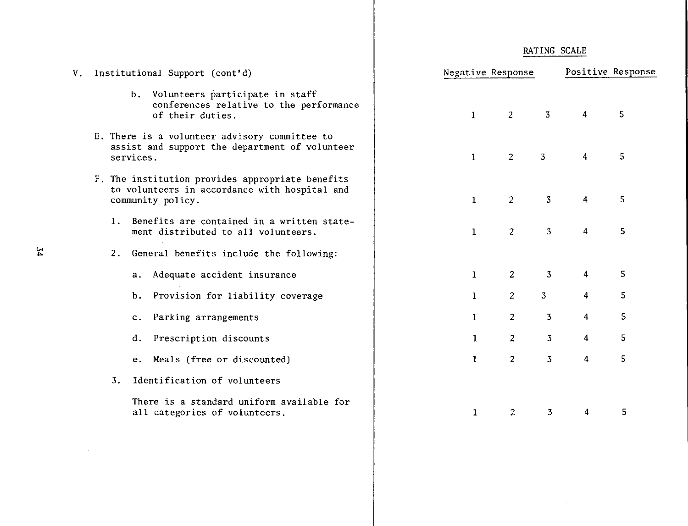|  | RATING SCALE |
|--|--------------|
|  |              |

| V. |                  | Institutional Support (cont'd)                                                                                         | Negative Response              |                                  |                         | Positive Response |
|----|------------------|------------------------------------------------------------------------------------------------------------------------|--------------------------------|----------------------------------|-------------------------|-------------------|
|    |                  | b. Volunteers participate in staff<br>conferences relative to the performance<br>of their duties.                      | $\mathbf{1}$<br>$\overline{2}$ | $\overline{3}$                   | $\overline{4}$          | 5                 |
|    |                  | E. There is a volunteer advisory committee to<br>assist and support the department of volunteer<br>services.           | $\overline{2}$<br>$\mathbf{1}$ | $\overline{3}$                   | $\overline{4}$          | 5                 |
|    |                  | F. The institution provides appropriate benefits<br>to volunteers in accordance with hospital and<br>community policy. | $\overline{2}$<br>$\mathbf{1}$ | 3                                | $\overline{\bf{4}}$     | 5                 |
|    |                  | 1. Benefits are contained in a written state-<br>ment distributed to all volunteers.                                   | 2<br>1                         | $\overline{3}$                   | $\overline{4}$          | 5                 |
|    | 2.               | General benefits include the following:                                                                                |                                |                                  |                         |                   |
|    |                  | a. Adequate accident insurance                                                                                         | $\mathbf{1}$                   | $\overline{2}$<br>3              | $\overline{4}$          | 5                 |
|    |                  | Provision for liability coverage<br>Ъ.                                                                                 | 1                              | $\overline{3}$<br>$\overline{2}$ | $\overline{\mathbf{4}}$ | 5                 |
|    |                  | Parking arrangements<br>$c_{\star}$                                                                                    | $\bf{1}$                       | 3<br>$\overline{c}$              | 4                       | 5                 |
|    |                  | Prescription discounts<br>d.                                                                                           | $\mathbf{1}$                   | 3<br>$\overline{c}$              | $\overline{4}$          | 5                 |
|    |                  | e. Meals (free or discounted)                                                                                          | $\mathbf{1}$                   | $\overline{3}$<br>$\overline{2}$ | $\overline{4}$          | 5                 |
|    | $\overline{3}$ . | Identification of volunteers                                                                                           |                                |                                  |                         |                   |
|    |                  | There is a standard uniform available for<br>all categories of volunteers.                                             | $\mathbf{1}$                   | $\overline{c}$<br>$\overline{3}$ | 4                       | 5                 |

 $\hat{p}$  and  $\hat{p}$  and  $\hat{p}$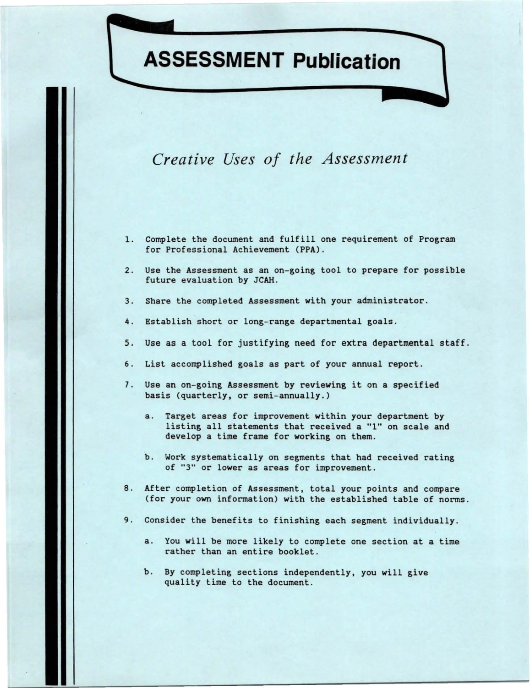# **ASSESSMENT Publication**

# *Creative Uses of the Assessment*

- 1. Complete the document and fulfill one requirement of Program for Professional Achievement **(PPA).**
- 2. Use the Assessment as an on-going tool to prepare for possible future evaluation by JCAH.
- 3. Share the completed Assessment with your administrator.
- 4. Establish short or long-range departmental goals.
- 5, Use as a tool for justifying need for extra departmental staff.
- 6. List accomplished goals as part of your annual report.
- 7. Use an on-going Assessment by reviewing it on a specified basis (quarterly, or semi-annually.)
	- a. Target areas for improvement within your department by listing all statements that received a "l" on scale and develop a time frame for **working** on them.
	- b. Work systematically on segments that had received rating of "3" or lower as areas for improvement.
- 8. After completion of Assessment, total your points and compare (for your own information) with the established table of norms.
- 9. Consider the benefits to finishing each segment individually.
	- a. You will be more likely to complete one section at a time rather than an entire booklet.
	- b. By completing sections independently, you will give quality time to the document.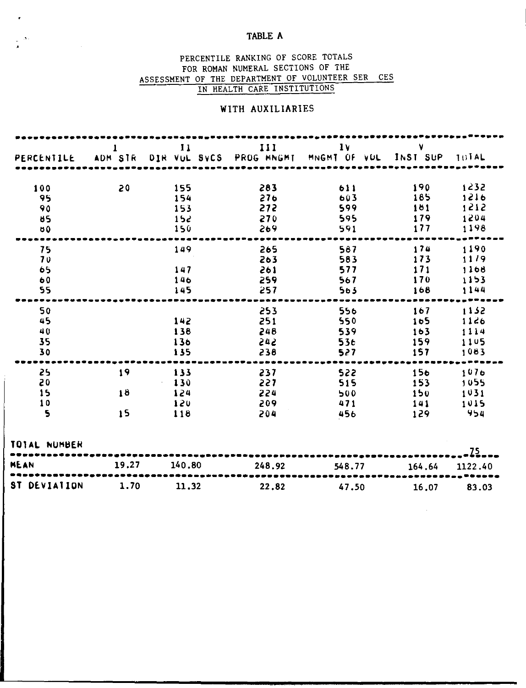## TABLE A

 $\bullet$ 

## PERCENTILE RANKING OF SCORE TOTALS FOR ROMAN NUMERAL SECTIONS OF THE ASSESSMENT OF THE DEPARTMENT OF VOLUNTEER SER CES IN HEALTH CARE INSTITUTIONS

## WITH AUXILIARIES

| PERCENTILE                                           | 1<br>ADM STR   | $\mathbf{H}$                                                      | 111<br>DIR VUL SVCS PROG MNGMT       | 1 <sub>V</sub><br>MNGMT OF VOL              | v<br>INST SUP                        | TUTAL                                        |
|------------------------------------------------------|----------------|-------------------------------------------------------------------|--------------------------------------|---------------------------------------------|--------------------------------------|----------------------------------------------|
| 100<br>95<br>90<br>85<br>00                          | 20             | 155<br>154<br>153<br>15c<br>150                                   | 283<br>276<br>272<br>270<br>269      | 611<br>603<br>599<br>595<br>591             | 190<br>185<br>181<br>179<br>177      | 1232<br>1216<br>1212<br>1204<br>1198         |
| 75<br>70<br>65<br>60<br>55                           |                | 149<br>147<br>146<br>145                                          | 265<br>263<br>261<br>259<br>257      | 587<br>583<br>577<br>567<br>563             | .<br>174<br>173<br>171<br>170<br>168 | ----<br>1190<br>11/9<br>1168<br>1153<br>1144 |
| 50<br>45<br>40<br>35<br>30                           |                | 142<br>138<br>136<br>135                                          | 253<br>251<br>248<br>545<br>238      | 556<br>550<br>539<br>53 <sub>t</sub><br>527 | 167<br>165<br>163<br>159<br>157      | 1132<br>1126<br>1114<br>1105<br>1083         |
| .<br>25<br>20<br>15<br>10<br>$\overline{\mathbf{S}}$ | 19<br>18<br>15 | $\bullet\bullet\bullet\bullet$<br>133<br>130<br>124<br>120<br>118 | .<br>237<br>227<br>224<br>209<br>204 | .<br>522<br>515<br>500<br>471<br>456        | <br>156<br>153<br>150<br>141<br>129  | 1076<br>1055<br>1031<br>1015<br>954          |
| TOTAL NUMBER<br>MEAN                                 | 19.27          | 140.80                                                            |                                      |                                             |                                      | $.25-$                                       |
| ST DEVIATION                                         | 1.70           | 11,32                                                             | 248.92<br>22.82                      | 548.77<br>47.50                             | 164.64<br>16,07                      | 1122.40<br>83.03                             |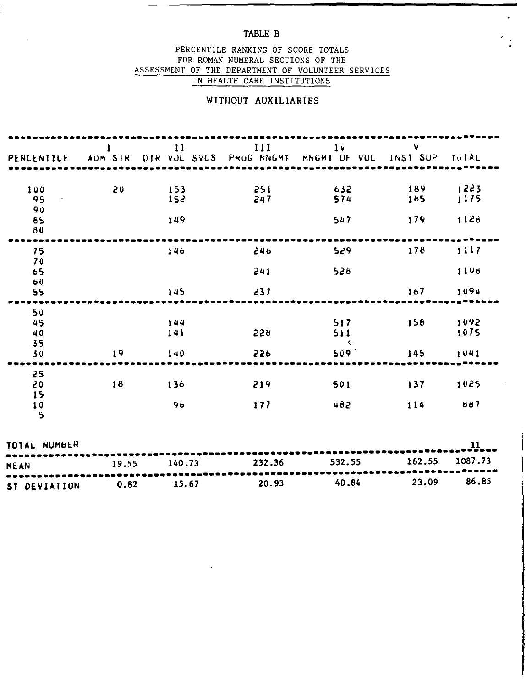## TABLE B

 $\hat{\mathbf{v}}$ 

## PERCENTILE RANKING OF SCORE TOTALS FOR ROMAN NUMERAL SECTIONS OF THE ASSESSMENT OF THE DEPARTMENT OF VOLUNTEER SERVICES IN HEALTH CARE INSTITUTIONS

## WITHOUT AUXILIARIES

| PERCENTILE           | 1<br>ADM SIR | 11<br>DIR VOL SVCS PROG MNGMT | 111        | 1V<br>MNGMT OF VUL         | V.<br>INST SUP   | TUTAL        |
|----------------------|--------------|-------------------------------|------------|----------------------------|------------------|--------------|
| 100<br>95            | 20           | 153<br>152                    | 251<br>247 | 632<br>574                 | 189<br>165       | 1223<br>1175 |
| 90<br>85<br>80       |              | 149                           |            | 547                        | 179              | 1128         |
| 75                   |              | 146                           | 246        | 529                        | 178              | 1117         |
| 70<br>65             |              |                               | 241        | 528                        |                  | 1108         |
| 60<br>55             |              | 145                           | 237        |                            | 1 <sub>0</sub> 7 | 1094         |
| 50<br>45<br>40<br>35 |              | 144<br>141                    | 228        | 517<br>511<br>$\mathbf{C}$ | 158              | 1092<br>1075 |
| 30                   | 19           | 140                           | 550        | $509+$                     | 145              | 1041         |
| 25<br>20<br>15       | 18           | 136                           | 219        | 501                        | 137              | 1025         |
| 10<br>$\mathbf{5}$   |              | 96                            | 177        | 482                        | 114              | 887          |
| TOTAL NUMBER         |              |                               |            |                            |                  | 11           |
| <b>MEAN</b>          | 19.55        | 140.73                        | 232.36     | 532.55                     | 162.55           | 1087.73      |
| ST DEVIATION         | 0.82         | 15.67                         | 20.93      | 40.84                      | 23.09            | 86.85        |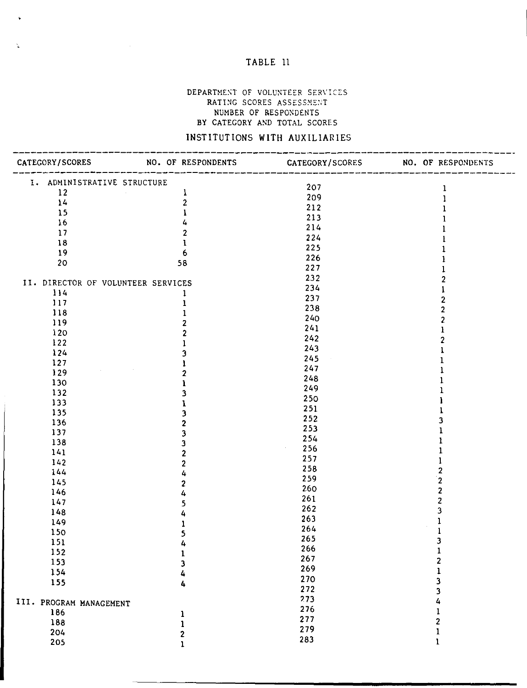## TABLE 11

 $\ddot{\mathbf{v}}$ 

 $\frac{\lambda_{\rm{B}}}{\Delta}$ 

#### DEPARTMENT OF VOLUNTEER SERVICES RATING SCORES ASSESSMENT NUMBER OF RESPONDENTS BY CATEGORY AND TOTAL SCORES

# INSTITUTIONS WITH AUXILIARIES

|                                    | CATEGORY/SCORES NO. OF RESPONDENTS CATEGORY/SCORES NO. OF RESPONDENTS<br>----------------------------- | -------------------<br>----------- |   |
|------------------------------------|--------------------------------------------------------------------------------------------------------|------------------------------------|---|
| I. ADMINISTRATIVE STRUCTURE        |                                                                                                        | 207                                |   |
| 12                                 | $\mathbf{I}$                                                                                           | 209                                |   |
| 14                                 | $\overline{c}$                                                                                         | 212                                |   |
| 15                                 | Ŧ                                                                                                      | 213                                |   |
| 16                                 | 4                                                                                                      | 214                                |   |
| 17                                 | $\overline{c}$                                                                                         | 224                                |   |
| 18                                 | Ĩ.                                                                                                     | 225                                |   |
| 19                                 | 6                                                                                                      |                                    |   |
| 20                                 | 58                                                                                                     | 226                                |   |
|                                    |                                                                                                        | 227                                |   |
| II. DIRECTOR OF VOLUNTEER SERVICES |                                                                                                        | 232                                |   |
| 114                                |                                                                                                        | 234                                |   |
| 117                                |                                                                                                        | 237                                |   |
| 118                                |                                                                                                        | 238                                |   |
| 119                                |                                                                                                        | 240                                |   |
| 120                                |                                                                                                        | 241                                |   |
| $122$                              |                                                                                                        | 242                                |   |
| 124                                |                                                                                                        | 243                                |   |
| 127                                |                                                                                                        | 245                                |   |
| 129                                |                                                                                                        | 247                                |   |
| 130                                |                                                                                                        | 248                                |   |
| 132                                |                                                                                                        | 249                                |   |
| 133                                |                                                                                                        | 250                                |   |
| 135                                |                                                                                                        | 251                                |   |
| 136                                |                                                                                                        | 252                                |   |
| 137                                |                                                                                                        | 253                                |   |
| 138                                |                                                                                                        | 254                                |   |
| 141                                |                                                                                                        | 256<br>$\epsilon$                  |   |
| 142                                |                                                                                                        | 257                                |   |
| 144                                |                                                                                                        | 258                                |   |
| 145                                |                                                                                                        | 259                                | 2 |
| 146                                |                                                                                                        | 260                                | 2 |
| 147                                |                                                                                                        | 261                                | 2 |
| 148                                |                                                                                                        | 262                                |   |
|                                    |                                                                                                        | 263                                |   |
| 149                                |                                                                                                        | 264                                |   |
| 150                                |                                                                                                        | 265                                | 3 |
| 151                                |                                                                                                        | 266                                |   |
| 152                                |                                                                                                        | 267                                |   |
| 153                                | 3                                                                                                      | 269                                |   |
| 154                                | 4                                                                                                      | 270                                |   |
| 155                                | 4                                                                                                      | 272                                |   |
|                                    |                                                                                                        | 273                                | 3 |
| III. PROGRAM MANAGEMENT            |                                                                                                        | 276                                |   |
| 186                                | 1                                                                                                      | 277                                |   |
| 188                                |                                                                                                        | 279                                | 2 |
| 204                                | 2                                                                                                      |                                    | ı |
| 205                                | 1                                                                                                      | 283                                | ı |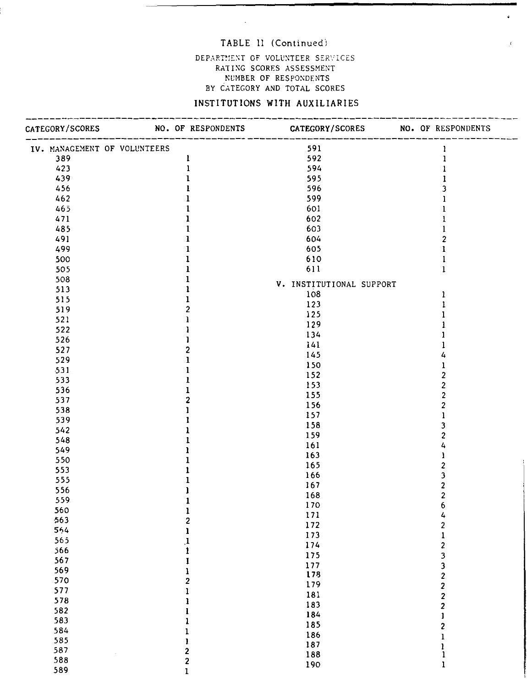## TABLE 11 (Continued)

 $\bar{\Delta}$ 

 $\ddot{\bullet}$ 

 $\epsilon$ 

## DEPARTMENT OF VOLUNTEER SERVICES RATING SCORES ASSESSMENT NCMBER OF RESPONDENTS BY CATEGORY AND TOTAL SCORES

## INSTITUTIONS **WITH** AUXILIARIES

|     |                              | CATEGORY/SCORES NO. OF RESPONDENTS CATEGORY/SCORES NO. OF RESPONDENTS |                                                                                                                                                                                                                                                                                                                                                                                                    |
|-----|------------------------------|-----------------------------------------------------------------------|----------------------------------------------------------------------------------------------------------------------------------------------------------------------------------------------------------------------------------------------------------------------------------------------------------------------------------------------------------------------------------------------------|
|     | IV. MANAGEMENT OF VOLUNTEERS | 591                                                                   | 1                                                                                                                                                                                                                                                                                                                                                                                                  |
| 389 | $\mathbf{I}$                 | 592                                                                   |                                                                                                                                                                                                                                                                                                                                                                                                    |
| 423 | $\mathbf{1}$                 | 594                                                                   |                                                                                                                                                                                                                                                                                                                                                                                                    |
| 439 |                              | 595                                                                   |                                                                                                                                                                                                                                                                                                                                                                                                    |
| 456 |                              | 596                                                                   |                                                                                                                                                                                                                                                                                                                                                                                                    |
| 462 |                              | 599                                                                   |                                                                                                                                                                                                                                                                                                                                                                                                    |
| 465 |                              | 601                                                                   |                                                                                                                                                                                                                                                                                                                                                                                                    |
| 471 |                              | 602                                                                   |                                                                                                                                                                                                                                                                                                                                                                                                    |
| 485 |                              | 603                                                                   |                                                                                                                                                                                                                                                                                                                                                                                                    |
| 491 |                              | 604                                                                   | 2                                                                                                                                                                                                                                                                                                                                                                                                  |
| 499 |                              | 605                                                                   |                                                                                                                                                                                                                                                                                                                                                                                                    |
| 500 |                              | 610                                                                   |                                                                                                                                                                                                                                                                                                                                                                                                    |
| 505 |                              | 611                                                                   | $\mathbf{1}$                                                                                                                                                                                                                                                                                                                                                                                       |
| 508 |                              | V. INSTITUTIONAL SUPPORT                                              |                                                                                                                                                                                                                                                                                                                                                                                                    |
| 513 |                              | 108                                                                   | Ŧ                                                                                                                                                                                                                                                                                                                                                                                                  |
| 515 |                              | 123                                                                   |                                                                                                                                                                                                                                                                                                                                                                                                    |
| 519 | 2                            | 125                                                                   |                                                                                                                                                                                                                                                                                                                                                                                                    |
| 521 |                              | 129                                                                   |                                                                                                                                                                                                                                                                                                                                                                                                    |
| 522 |                              |                                                                       |                                                                                                                                                                                                                                                                                                                                                                                                    |
| 526 |                              | 134                                                                   |                                                                                                                                                                                                                                                                                                                                                                                                    |
| 527 | 2                            | 141                                                                   |                                                                                                                                                                                                                                                                                                                                                                                                    |
| 529 | ı                            | 145                                                                   |                                                                                                                                                                                                                                                                                                                                                                                                    |
| 531 |                              | 150                                                                   |                                                                                                                                                                                                                                                                                                                                                                                                    |
| 533 |                              | 152                                                                   |                                                                                                                                                                                                                                                                                                                                                                                                    |
| 536 |                              | 153                                                                   | 2                                                                                                                                                                                                                                                                                                                                                                                                  |
| 537 | 2                            | 155                                                                   |                                                                                                                                                                                                                                                                                                                                                                                                    |
| 538 |                              | 156                                                                   |                                                                                                                                                                                                                                                                                                                                                                                                    |
| 539 |                              | 157                                                                   |                                                                                                                                                                                                                                                                                                                                                                                                    |
| 542 |                              | 158                                                                   |                                                                                                                                                                                                                                                                                                                                                                                                    |
| 548 |                              | 159                                                                   |                                                                                                                                                                                                                                                                                                                                                                                                    |
| 549 |                              | 161                                                                   |                                                                                                                                                                                                                                                                                                                                                                                                    |
| 550 |                              | 163                                                                   |                                                                                                                                                                                                                                                                                                                                                                                                    |
| 553 |                              | 165                                                                   |                                                                                                                                                                                                                                                                                                                                                                                                    |
| 555 |                              | 166                                                                   |                                                                                                                                                                                                                                                                                                                                                                                                    |
| 556 |                              | 167                                                                   | 2                                                                                                                                                                                                                                                                                                                                                                                                  |
| 559 |                              | 168                                                                   | $\overline{\mathbf{c}}$                                                                                                                                                                                                                                                                                                                                                                            |
| 560 | ı                            | 170                                                                   | 6                                                                                                                                                                                                                                                                                                                                                                                                  |
| 563 | 2                            | 171                                                                   | 4                                                                                                                                                                                                                                                                                                                                                                                                  |
| 564 |                              | 172                                                                   | $\overline{\mathbf{c}}$                                                                                                                                                                                                                                                                                                                                                                            |
| 565 |                              | 173                                                                   | $\mathbf 1$                                                                                                                                                                                                                                                                                                                                                                                        |
| 566 |                              | 174                                                                   | $\overline{\mathbf{c}}$                                                                                                                                                                                                                                                                                                                                                                            |
| 567 |                              | 175                                                                   | $\overline{\mathbf{3}}$                                                                                                                                                                                                                                                                                                                                                                            |
| 569 | 1                            | 177                                                                   |                                                                                                                                                                                                                                                                                                                                                                                                    |
| 570 | $\overline{2}$               | 178                                                                   |                                                                                                                                                                                                                                                                                                                                                                                                    |
| 577 | 1                            | 179                                                                   |                                                                                                                                                                                                                                                                                                                                                                                                    |
| 578 | ı                            | 181                                                                   | $\begin{array}{c} 3 \\ 2 \\ 2 \\ 2 \end{array}$                                                                                                                                                                                                                                                                                                                                                    |
| 582 | ı                            | 183                                                                   |                                                                                                                                                                                                                                                                                                                                                                                                    |
| 583 |                              | 184                                                                   | $\mathbf{I}% =\mathbf{I}^{T}\mathbf{e}_{\mathbf{I}}\mathbf{v}^{T}\mathbf{v}^{T}\mathbf{v}^{T}+\mathbf{I}^{T}\mathbf{v}^{T}\mathbf{v}^{T}+\mathbf{I}^{T}\mathbf{v}^{T}\mathbf{v}^{T}+\mathbf{I}^{T}\mathbf{v}^{T}\mathbf{v}^{T}+\mathbf{I}^{T}\mathbf{v}^{T}\mathbf{v}^{T}+\mathbf{I}^{T}\mathbf{v}^{T}\mathbf{v}^{T}+\mathbf{I}^{T}\mathbf{v}^{T}\mathbf{v}^{T}+\mathbf{I}^{T}\mathbf{v}^{T}\math$ |
| 584 |                              | 185                                                                   | $\overline{\mathbf{c}}$                                                                                                                                                                                                                                                                                                                                                                            |
| 585 | 1                            | 186                                                                   | $\mathbf{1}$                                                                                                                                                                                                                                                                                                                                                                                       |
| 587 | $\overline{\mathbf{2}}$      | 187                                                                   | $\mathbf{l}$                                                                                                                                                                                                                                                                                                                                                                                       |
| 588 | $\overline{\mathbf{2}}$      | 188                                                                   | $\mathbf{1}$                                                                                                                                                                                                                                                                                                                                                                                       |
| 589 | $\mathbf{I}$                 | 190                                                                   | $\mathbf{l}$                                                                                                                                                                                                                                                                                                                                                                                       |
|     |                              |                                                                       |                                                                                                                                                                                                                                                                                                                                                                                                    |